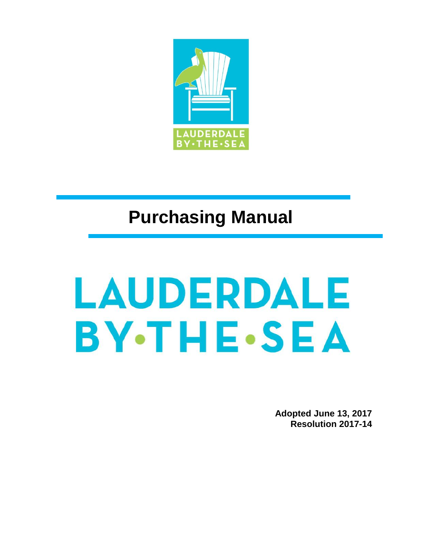

# LAUDERDALE **BY.THE.SEA**

**Adopted June 13, 2017 Resolution 2017-14**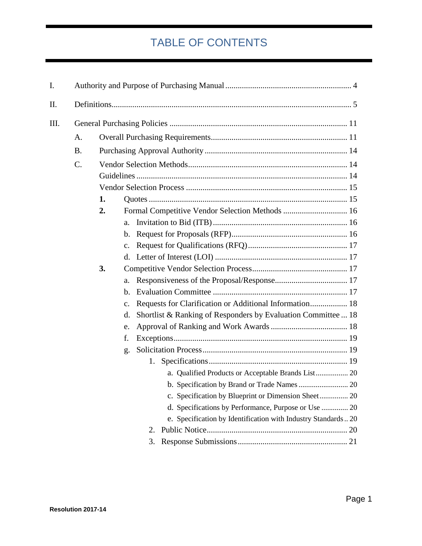## TABLE OF CONTENTS

| I.  |           |    |                                                                          |  |
|-----|-----------|----|--------------------------------------------------------------------------|--|
| II. |           |    |                                                                          |  |
| Ш.  |           |    |                                                                          |  |
|     | A.        |    |                                                                          |  |
|     | <b>B.</b> |    |                                                                          |  |
|     | $C$ .     |    |                                                                          |  |
|     |           |    |                                                                          |  |
|     |           |    |                                                                          |  |
|     |           | 1. |                                                                          |  |
|     |           | 2. |                                                                          |  |
|     |           |    | a.                                                                       |  |
|     |           |    | $\mathbf{b}$ .                                                           |  |
|     |           |    | $c_{\cdot}$                                                              |  |
|     |           |    | d.                                                                       |  |
|     |           | 3. |                                                                          |  |
|     |           |    | a.                                                                       |  |
|     |           |    | b.                                                                       |  |
|     |           |    | Requests for Clarification or Additional Information 18<br>$C_{\bullet}$ |  |
|     |           |    | Shortlist & Ranking of Responders by Evaluation Committee  18<br>d.      |  |
|     |           |    | e.                                                                       |  |
|     |           |    | f.                                                                       |  |
|     |           |    | g.                                                                       |  |
|     |           |    | 1.                                                                       |  |
|     |           |    | a. Qualified Products or Acceptable Brands List 20                       |  |
|     |           |    |                                                                          |  |
|     |           |    | c. Specification by Blueprint or Dimension Sheet 20                      |  |
|     |           |    | d. Specifications by Performance, Purpose or Use  20                     |  |
|     |           |    | e. Specification by Identification with Industry Standards 20            |  |
|     |           |    | 2.                                                                       |  |
|     |           |    | 3.                                                                       |  |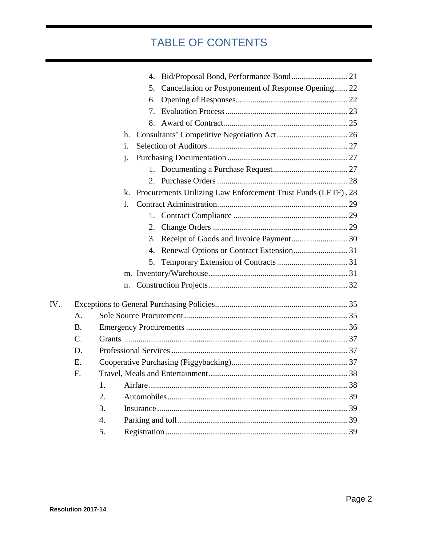## TABLE OF CONTENTS

|     |           | Cancellation or Postponement of Response Opening 22<br>5.           |  |
|-----|-----------|---------------------------------------------------------------------|--|
|     |           | 6.                                                                  |  |
|     |           | 7.                                                                  |  |
|     |           | 8.                                                                  |  |
|     |           | h.                                                                  |  |
|     |           | $\mathbf{i}$ .                                                      |  |
|     |           | $\mathbf{i}$ .                                                      |  |
|     |           |                                                                     |  |
|     |           |                                                                     |  |
|     |           | Procurements Utilizing Law Enforcement Trust Funds (LETF). 28<br>k. |  |
|     |           | 1.                                                                  |  |
|     |           | 1.                                                                  |  |
|     |           | 2.                                                                  |  |
|     |           | 3.                                                                  |  |
|     |           | 4.                                                                  |  |
|     |           |                                                                     |  |
|     |           |                                                                     |  |
|     |           | n.                                                                  |  |
|     |           |                                                                     |  |
| IV. |           |                                                                     |  |
|     | А.        |                                                                     |  |
|     | <b>B.</b> |                                                                     |  |
|     | C.        |                                                                     |  |
|     | D.        |                                                                     |  |
|     | E.        |                                                                     |  |
|     | F.        |                                                                     |  |
|     |           | 1.                                                                  |  |
|     |           | 2.                                                                  |  |
|     |           | 3.                                                                  |  |
|     |           | 4.                                                                  |  |
|     |           | 5.                                                                  |  |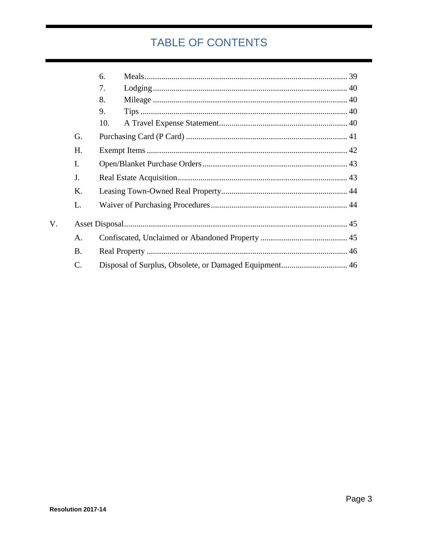## TABLE OF CONTENTS

|                 | 6.  |  |
|-----------------|-----|--|
|                 | 7.  |  |
|                 | 8.  |  |
|                 | 9.  |  |
|                 | 10. |  |
| G.              |     |  |
| H.              |     |  |
| I.              |     |  |
| J.              |     |  |
| Κ.              |     |  |
| L.              |     |  |
|                 |     |  |
| A.              |     |  |
| <b>B.</b>       |     |  |
| $\mathcal{C}$ . |     |  |
|                 |     |  |

V.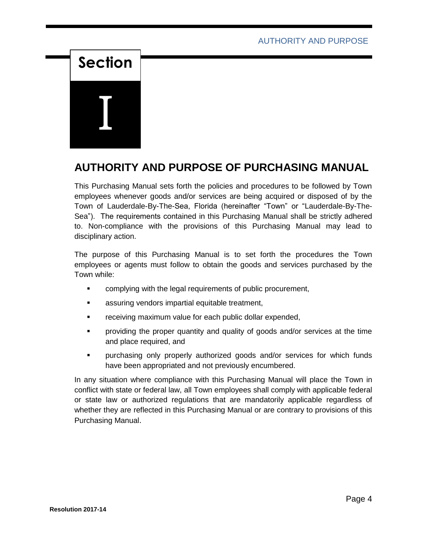# **Section** I

## **AUTHORITY AND PURPOSE OF PURCHASING MANUAL**

This Purchasing Manual sets forth the policies and procedures to be followed by Town employees whenever goods and/or services are being acquired or disposed of by the Town of Lauderdale-By-The-Sea, Florida (hereinafter "Town" or "Lauderdale-By-The-Sea"). The requirements contained in this Purchasing Manual shall be strictly adhered to. Non-compliance with the provisions of this Purchasing Manual may lead to disciplinary action.

The purpose of this Purchasing Manual is to set forth the procedures the Town employees or agents must follow to obtain the goods and services purchased by the Town while:

- complying with the legal requirements of public procurement,
- **EXEDENT** assuring vendors impartial equitable treatment,
- receiving maximum value for each public dollar expended,
- providing the proper quantity and quality of goods and/or services at the time and place required, and
- purchasing only properly authorized goods and/or services for which funds have been appropriated and not previously encumbered.

In any situation where compliance with this Purchasing Manual will place the Town in conflict with state or federal law, all Town employees shall comply with applicable federal or state law or authorized regulations that are mandatorily applicable regardless of whether they are reflected in this Purchasing Manual or are contrary to provisions of this Purchasing Manual.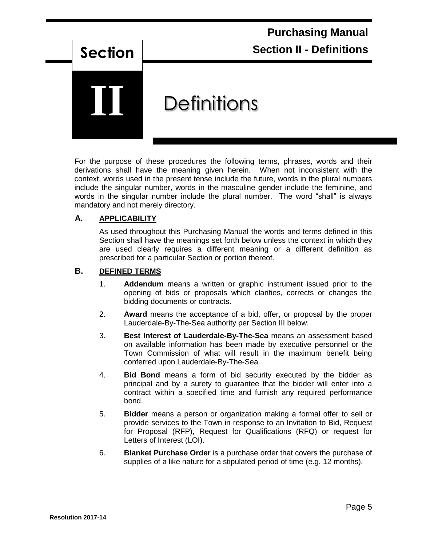

For the purpose of these procedures the following terms, phrases, words and their derivations shall have the meaning given herein. When not inconsistent with the context, words used in the present tense include the future, words in the plural numbers include the singular number, words in the masculine gender include the feminine, and words in the singular number include the plural number. The word "shall" is always mandatory and not merely directory.

#### **A. APPLICABILITY**

As used throughout this Purchasing Manual the words and terms defined in this Section shall have the meanings set forth below unless the context in which they are used clearly requires a different meaning or a different definition as prescribed for a particular Section or portion thereof.

#### **B. DEFINED TERMS**

- 1. **Addendum** means a written or graphic instrument issued prior to the opening of bids or proposals which clarifies, corrects or changes the bidding documents or contracts.
- 2. **Award** means the acceptance of a bid, offer, or proposal by the proper Lauderdale-By-The-Sea authority per Section III below.
- 3. **Best Interest of Lauderdale-By-The-Sea** means an assessment based on available information has been made by executive personnel or the Town Commission of what will result in the maximum benefit being conferred upon Lauderdale-By-The-Sea.
- 4. **Bid Bond** means a form of bid security executed by the bidder as principal and by a surety to guarantee that the bidder will enter into a contract within a specified time and furnish any required performance bond.
- 5. **Bidder** means a person or organization making a formal offer to sell or provide services to the Town in response to an Invitation to Bid, Request for Proposal (RFP), Request for Qualifications (RFQ) or request for Letters of Interest (LOI).
- 6. **Blanket Purchase Order** is a purchase order that covers the purchase of supplies of a like nature for a stipulated period of time (e.g. 12 months).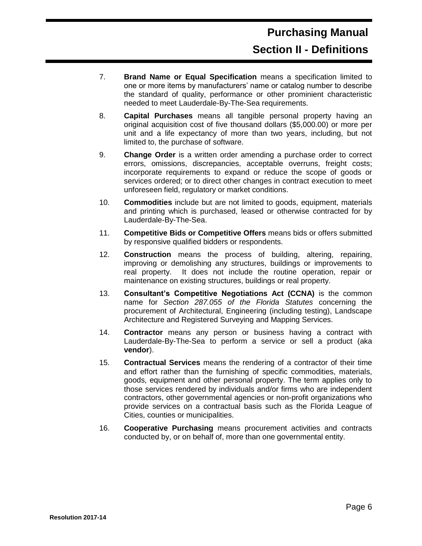- 7. **Brand Name or Equal Specification** means a specification limited to one or more items by manufacturers' name or catalog number to describe the standard of quality, performance or other prominient characteristic needed to meet Lauderdale-By-The-Sea requirements.
- 8. **Capital Purchases** means all tangible personal property having an original acquisition cost of five thousand dollars (\$5,000.00) or more per unit and a life expectancy of more than two years, including, but not limited to, the purchase of software.
- 9. **Change Order** is a written order amending a purchase order to correct errors, omissions, discrepancies, acceptable overruns, freight costs; incorporate requirements to expand or reduce the scope of goods or services ordered; or to direct other changes in contract execution to meet unforeseen field, regulatory or market conditions.
- 10. **Commodities** include but are not limited to goods, equipment, materials and printing which is purchased, leased or otherwise contracted for by Lauderdale-By-The-Sea.
- 11. **Competitive Bids or Competitive Offers** means bids or offers submitted by responsive qualified bidders or respondents.
- 12. **Construction** means the process of building, altering, repairing, improving or demolishing any structures, buildings or improvements to real property. It does not include the routine operation, repair or maintenance on existing structures, buildings or real property.
- 13. **Consultant's Competitive Negotiations Act (CCNA)** is the common name for *Section 287.055 of the Florida Statutes* concerning the procurement of Architectural, Engineering (including testing), Landscape Architecture and Registered Surveying and Mapping Services.
- 14. **Contractor** means any person or business having a contract with Lauderdale-By-The-Sea to perform a service or sell a product (aka **vendor**).
- 15. **Contractual Services** means the rendering of a contractor of their time and effort rather than the furnishing of specific commodities, materials, goods, equipment and other personal property. The term applies only to those services rendered by individuals and/or firms who are independent contractors, other governmental agencies or non-profit organizations who provide services on a contractual basis such as the Florida League of Cities, counties or municipalities.
- 16. **Cooperative Purchasing** means procurement activities and contracts conducted by, or on behalf of, more than one governmental entity.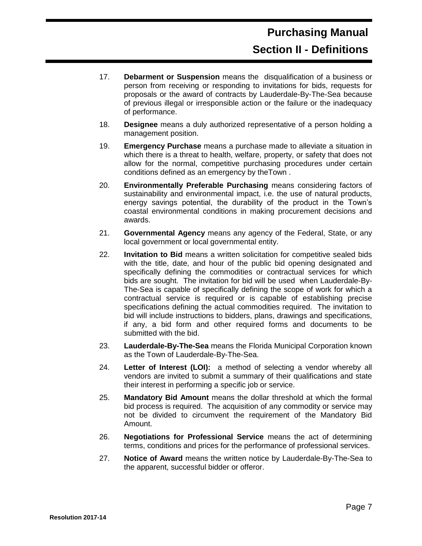- 17. **Debarment or Suspension** means the disqualification of a business or person from receiving or responding to invitations for bids, requests for proposals or the award of contracts by Lauderdale-By-The-Sea because of previous illegal or irresponsible action or the failure or the inadequacy of performance.
- 18. **Designee** means a duly authorized representative of a person holding a management position.
- 19. **Emergency Purchase** means a purchase made to alleviate a situation in which there is a threat to health, welfare, property, or safety that does not allow for the normal, competitive purchasing procedures under certain conditions defined as an emergency by theTown .
- 20. **Environmentally Preferable Purchasing** means considering factors of sustainability and environmental impact, i.e. the use of natural products, energy savings potential, the durability of the product in the Town's coastal environmental conditions in making procurement decisions and awards.
- 21. **Governmental Agency** means any agency of the Federal, State, or any local government or local governmental entity.
- 22. **Invitation to Bid** means a written solicitation for competitive sealed bids with the title, date, and hour of the public bid opening designated and specifically defining the commodities or contractual services for which bids are sought. The invitation for bid will be used when Lauderdale-By-The-Sea is capable of specifically defining the scope of work for which a contractual service is required or is capable of establishing precise specifications defining the actual commodities required. The invitation to bid will include instructions to bidders, plans, drawings and specifications, if any, a bid form and other required forms and documents to be submitted with the bid.
- 23. **Lauderdale-By-The-Sea** means the Florida Municipal Corporation known as the Town of Lauderdale-By-The-Sea.
- 24. **Letter of Interest (LOI):** a method of selecting a vendor whereby all vendors are invited to submit a summary of their qualifications and state their interest in performing a specific job or service.
- 25. **Mandatory Bid Amount** means the dollar threshold at which the formal bid process is required. The acquisition of any commodity or service may not be divided to circumvent the requirement of the Mandatory Bid Amount.
- 26. **Negotiations for Professional Service** means the act of determining terms, conditions and prices for the performance of professional services.
- 27. **Notice of Award** means the written notice by Lauderdale-By-The-Sea to the apparent, successful bidder or offeror.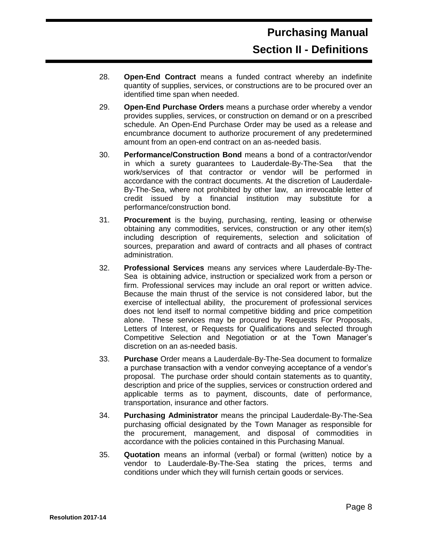- 28. **Open-End Contract** means a funded contract whereby an indefinite quantity of supplies, services, or constructions are to be procured over an identified time span when needed.
- 29. **Open-End Purchase Orders** means a purchase order whereby a vendor provides supplies, services, or construction on demand or on a prescribed schedule. An Open-End Purchase Order may be used as a release and encumbrance document to authorize procurement of any predetermined amount from an open-end contract on an as-needed basis.
- 30. **Performance/Construction Bond** means a bond of a contractor/vendor in which a surety guarantees to Lauderdale-By-The-Sea that the work/services of that contractor or vendor will be performed in accordance with the contract documents. At the discretion of Lauderdale-By-The-Sea, where not prohibited by other law, an irrevocable letter of credit issued by a financial institution may substitute for a performance/construction bond.
- 31. **Procurement** is the buying, purchasing, renting, leasing or otherwise obtaining any commodities, services, construction or any other item(s) including description of requirements, selection and solicitation of sources, preparation and award of contracts and all phases of contract administration.
- 32. **Professional Services** means any services where Lauderdale-By-The-Sea is obtaining advice, instruction or specialized work from a person or firm. Professional services may include an oral report or written advice. Because the main thrust of the service is not considered labor, but the exercise of intellectual ability, the procurement of professional services does not lend itself to normal competitive bidding and price competition alone. These services may be procured by Requests For Proposals, Letters of Interest, or Requests for Qualifications and selected through Competitive Selection and Negotiation or at the Town Manager's discretion on an as-needed basis.
- 33. **Purchase** Order means a Lauderdale-By-The-Sea document to formalize a purchase transaction with a vendor conveying acceptance of a vendor's proposal. The purchase order should contain statements as to quantity, description and price of the supplies, services or construction ordered and applicable terms as to payment, discounts, date of performance, transportation, insurance and other factors.
- 34. **Purchasing Administrator** means the principal Lauderdale-By-The-Sea purchasing official designated by the Town Manager as responsible for the procurement, management, and disposal of commodities in accordance with the policies contained in this Purchasing Manual.
- 35. **Quotation** means an informal (verbal) or formal (written) notice by a vendor to Lauderdale-By-The-Sea stating the prices, terms and conditions under which they will furnish certain goods or services.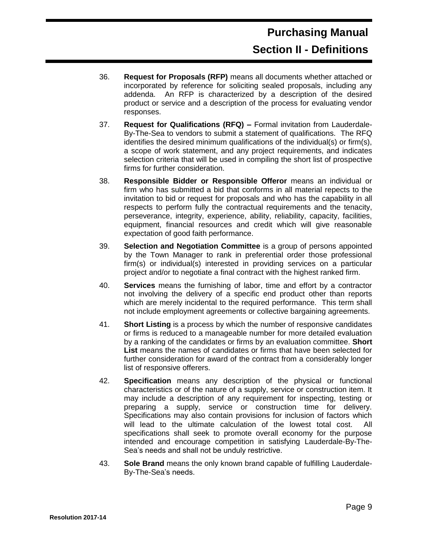- 36. **Request for Proposals (RFP)** means all documents whether attached or incorporated by reference for soliciting sealed proposals, including any addenda. An RFP is characterized by a description of the desired product or service and a description of the process for evaluating vendor responses.
- 37. **Request for Qualifications (RFQ) –** Formal invitation from Lauderdale-By-The-Sea to vendors to submit a statement of qualifications. The RFQ identifies the desired minimum qualifications of the individual(s) or firm(s), a scope of work statement, and any project requirements, and indicates selection criteria that will be used in compiling the short list of prospective firms for further consideration.
- 38. **Responsible Bidder or Responsible Offeror** means an individual or firm who has submitted a bid that conforms in all material repects to the invitation to bid or request for proposals and who has the capability in all respects to perform fully the contractual requirements and the tenacity, perseverance, integrity, experience, ability, reliability, capacity, facilities, equipment, financial resources and credit which will give reasonable expectation of good faith performance.
- 39. **Selection and Negotiation Committee** is a group of persons appointed by the Town Manager to rank in preferential order those professional firm(s) or individual(s) interested in providing services on a particular project and/or to negotiate a final contract with the highest ranked firm.
- 40. **Services** means the furnishing of labor, time and effort by a contractor not involving the delivery of a specific end product other than reports which are merely incidental to the required performance. This term shall not include employment agreements or collective bargaining agreements.
- 41. **Short Listing** is a process by which the number of responsive candidates or firms is reduced to a manageable number for more detailed evaluation by a ranking of the candidates or firms by an evaluation committee. **Short List** means the names of candidates or firms that have been selected for further consideration for award of the contract from a considerably longer list of responsive offerers.
- 42. **Specification** means any description of the physical or functional characteristics or of the nature of a supply, service or construction item. It may include a description of any requirement for inspecting, testing or preparing a supply, service or construction time for delivery. Specifications may also contain provisions for inclusion of factors which will lead to the ultimate calculation of the lowest total cost. All specifications shall seek to promote overall economy for the purpose intended and encourage competition in satisfying Lauderdale-By-The-Sea's needs and shall not be unduly restrictive.
- 43. **Sole Brand** means the only known brand capable of fulfilling Lauderdale-By-The-Sea's needs.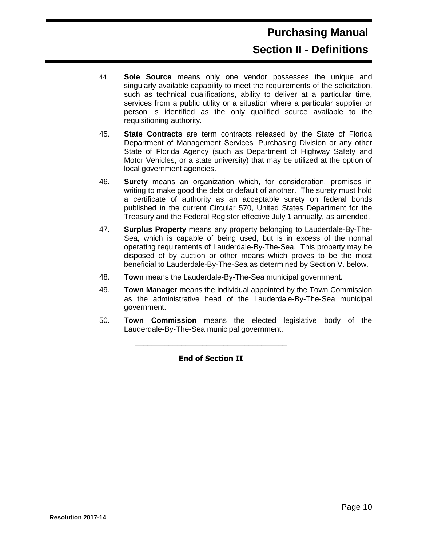- 44. **Sole Source** means only one vendor possesses the unique and singularly available capability to meet the requirements of the solicitation, such as technical qualifications, ability to deliver at a particular time, services from a public utility or a situation where a particular supplier or person is identified as the only qualified source available to the requisitioning authority.
- 45. **State Contracts** are term contracts released by the State of Florida Department of Management Services' Purchasing Division or any other State of Florida Agency (such as Department of Highway Safety and Motor Vehicles, or a state university) that may be utilized at the option of local government agencies.
- 46. **Surety** means an organization which, for consideration, promises in writing to make good the debt or default of another. The surety must hold a certificate of authority as an acceptable surety on federal bonds published in the current Circular 570, United States Department for the Treasury and the Federal Register effective July 1 annually, as amended.
- 47. **Surplus Property** means any property belonging to Lauderdale-By-The-Sea, which is capable of being used, but is in excess of the normal operating requirements of Lauderdale-By-The-Sea. This property may be disposed of by auction or other means which proves to be the most beneficial to Lauderdale-By-The-Sea as determined by Section V. below.
- 48. **Town** means the Lauderdale-By-The-Sea municipal government.
- 49. **Town Manager** means the individual appointed by the Town Commission as the administrative head of the Lauderdale-By-The-Sea municipal government.
- 50. **Town Commission** means the elected legislative body of the Lauderdale-By-The-Sea municipal government.

**End of Section II**

\_\_\_\_\_\_\_\_\_\_\_\_\_\_\_\_\_\_\_\_\_\_\_\_\_\_\_\_\_\_\_\_\_\_\_\_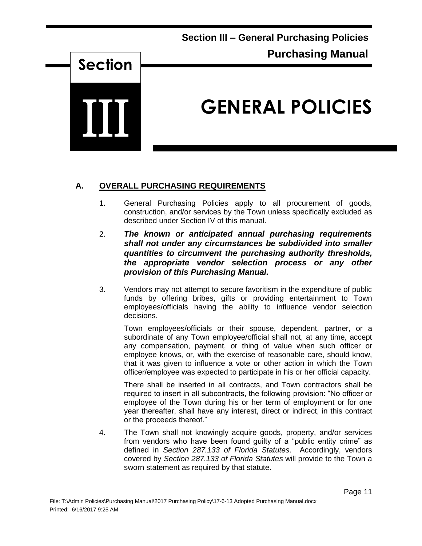

#### **A. OVERALL PURCHASING REQUIREMENTS**

- 1. General Purchasing Policies apply to all procurement of goods, construction, and/or services by the Town unless specifically excluded as described under Section IV of this manual.
- 2. *The known or anticipated annual purchasing requirements shall not under any circumstances be subdivided into smaller quantities to circumvent the purchasing authority thresholds, the appropriate vendor selection process or any other provision of this Purchasing Manual.*
- 3. Vendors may not attempt to secure favoritism in the expenditure of public funds by offering bribes, gifts or providing entertainment to Town employees/officials having the ability to influence vendor selection decisions.

Town employees/officials or their spouse, dependent, partner, or a subordinate of any Town employee/official shall not, at any time, accept any compensation, payment, or thing of value when such officer or employee knows, or, with the exercise of reasonable care, should know, that it was given to influence a vote or other action in which the Town officer/employee was expected to participate in his or her official capacity.

There shall be inserted in all contracts, and Town contractors shall be required to insert in all subcontracts, the following provision: "No officer or employee of the Town during his or her term of employment or for one year thereafter, shall have any interest, direct or indirect, in this contract or the proceeds thereof."

4. The Town shall not knowingly acquire goods, property, and/or services from vendors who have been found guilty of a "public entity crime" as defined in *Section 287.133 of Florida Statutes*. Accordingly, vendors covered by *Section 287.133 of Florida Statutes* will provide to the Town a sworn statement as required by that statute.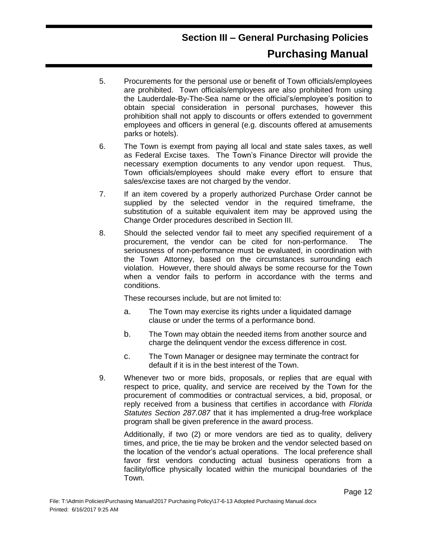- 5. Procurements for the personal use or benefit of Town officials/employees are prohibited. Town officials/employees are also prohibited from using the Lauderdale-By-The-Sea name or the official's/employee's position to obtain special consideration in personal purchases, however this prohibition shall not apply to discounts or offers extended to government employees and officers in general (e.g. discounts offered at amusements parks or hotels).
- 6. The Town is exempt from paying all local and state sales taxes, as well as Federal Excise taxes. The Town's Finance Director will provide the necessary exemption documents to any vendor upon request. Thus, Town officials/employees should make every effort to ensure that sales/excise taxes are not charged by the vendor.
- 7. If an item covered by a properly authorized Purchase Order cannot be supplied by the selected vendor in the required timeframe, the substitution of a suitable equivalent item may be approved using the Change Order procedures described in Section III.
- 8. Should the selected vendor fail to meet any specified requirement of a procurement, the vendor can be cited for non-performance. The seriousness of non-performance must be evaluated, in coordination with the Town Attorney, based on the circumstances surrounding each violation. However, there should always be some recourse for the Town when a vendor fails to perform in accordance with the terms and conditions.

These recourses include, but are not limited to:

- a. The Town may exercise its rights under a liquidated damage clause or under the terms of a performance bond.
- b. The Town may obtain the needed items from another source and charge the delinquent vendor the excess difference in cost.
- c. The Town Manager or designee may terminate the contract for default if it is in the best interest of the Town.
- 9. Whenever two or more bids, proposals, or replies that are equal with respect to price, quality, and service are received by the Town for the procurement of commodities or contractual services, a bid, proposal, or reply received from a business that certifies in accordance with *Florida Statutes Section 287.087* that it has implemented a drug-free workplace program shall be given preference in the award process.

Additionally, if two (2) or more vendors are tied as to quality, delivery times, and price, the tie may be broken and the vendor selected based on the location of the vendor's actual operations. The local preference shall favor first vendors conducting actual business operations from a facility/office physically located within the municipal boundaries of the Town.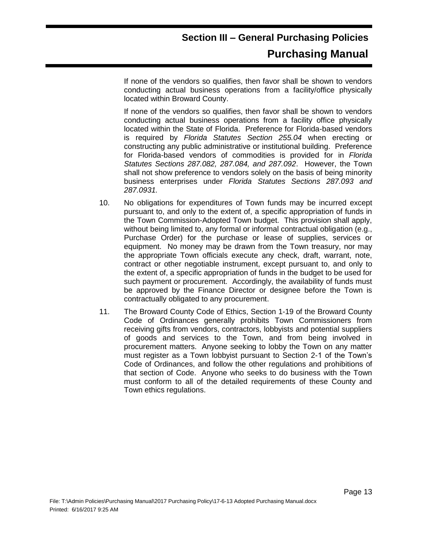If none of the vendors so qualifies, then favor shall be shown to vendors conducting actual business operations from a facility/office physically located within Broward County.

If none of the vendors so qualifies, then favor shall be shown to vendors conducting actual business operations from a facility office physically located within the State of Florida. Preference for Florida-based vendors is required by *Florida Statutes Section 255.04* when erecting or constructing any public administrative or institutional building. Preference for Florida-based vendors of commodities is provided for in *Florida Statutes Sections 287.082, 287.084, and 287.092*. However, the Town shall not show preference to vendors solely on the basis of being minority business enterprises under *Florida Statutes Sections 287.093 and 287.0931.*

- 10. No obligations for expenditures of Town funds may be incurred except pursuant to, and only to the extent of, a specific appropriation of funds in the Town Commission-Adopted Town budget. This provision shall apply, without being limited to, any formal or informal contractual obligation (e.g., Purchase Order) for the purchase or lease of supplies, services or equipment. No money may be drawn from the Town treasury, nor may the appropriate Town officials execute any check, draft, warrant, note, contract or other negotiable instrument, except pursuant to, and only to the extent of, a specific appropriation of funds in the budget to be used for such payment or procurement. Accordingly, the availability of funds must be approved by the Finance Director or designee before the Town is contractually obligated to any procurement.
- 11. The Broward County Code of Ethics, Section 1-19 of the Broward County Code of Ordinances generally prohibits Town Commissioners from receiving gifts from vendors, contractors, lobbyists and potential suppliers of goods and services to the Town, and from being involved in procurement matters. Anyone seeking to lobby the Town on any matter must register as a Town lobbyist pursuant to Section 2-1 of the Town's Code of Ordinances, and follow the other regulations and prohibitions of that section of Code. Anyone who seeks to do business with the Town must conform to all of the detailed requirements of these County and Town ethics regulations.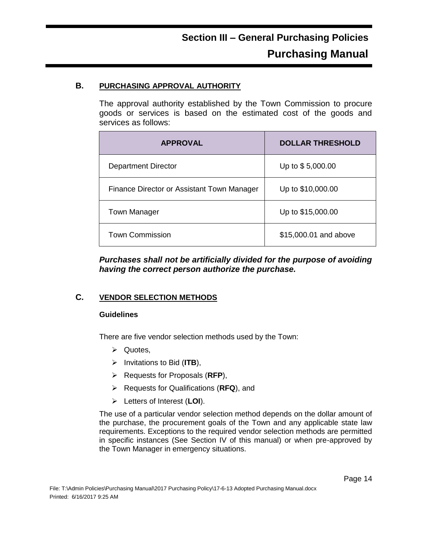#### **B. PURCHASING APPROVAL AUTHORITY**

The approval authority established by the Town Commission to procure goods or services is based on the estimated cost of the goods and services as follows:

| <b>APPROVAL</b>                            | <b>DOLLAR THRESHOLD</b> |
|--------------------------------------------|-------------------------|
| <b>Department Director</b>                 | Up to \$5,000.00        |
| Finance Director or Assistant Town Manager | Up to \$10,000.00       |
| <b>Town Manager</b>                        | Up to \$15,000.00       |
| <b>Town Commission</b>                     | \$15,000.01 and above   |

*Purchases shall not be artificially divided for the purpose of avoiding having the correct person authorize the purchase.*

#### **C. VENDOR SELECTION METHODS**

#### **Guidelines**

There are five vendor selection methods used by the Town:

- ➢ Quotes,
- ➢ Invitations to Bid (**ITB**),
- ➢ Requests for Proposals (**RFP**),
- ➢ Requests for Qualifications (**RFQ**), and
- ➢ Letters of Interest (**LOI**).

The use of a particular vendor selection method depends on the dollar amount of the purchase, the procurement goals of the Town and any applicable state law requirements. Exceptions to the required vendor selection methods are permitted in specific instances (See Section IV of this manual) or when pre-approved by the Town Manager in emergency situations.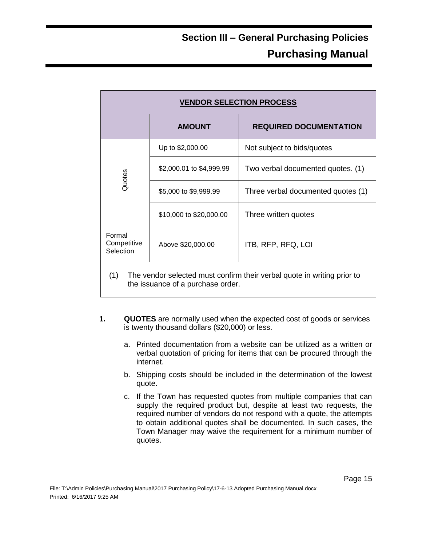| <b>VENDOR SELECTION PROCESS</b>                                                                                     |                          |                                    |
|---------------------------------------------------------------------------------------------------------------------|--------------------------|------------------------------------|
|                                                                                                                     | <b>AMOUNT</b>            | <b>REQUIRED DOCUMENTATION</b>      |
|                                                                                                                     | Up to \$2,000.00         | Not subject to bids/quotes         |
| Quotes                                                                                                              | \$2,000.01 to \$4,999.99 | Two verbal documented quotes. (1)  |
|                                                                                                                     | \$5,000 to \$9,999.99    | Three verbal documented quotes (1) |
|                                                                                                                     | \$10,000 to \$20,000.00  | Three written quotes               |
| Formal<br>Competitive<br>Selection                                                                                  | Above \$20,000.00        | ITB, RFP, RFQ, LOI                 |
| (1)<br>The vendor selected must confirm their verbal quote in writing prior to<br>the issuance of a purchase order. |                          |                                    |

- **1. QUOTES** are normally used when the expected cost of goods or services is twenty thousand dollars (\$20,000) or less.
	- a. Printed documentation from a website can be utilized as a written or verbal quotation of pricing for items that can be procured through the internet.
	- b. Shipping costs should be included in the determination of the lowest quote.
	- c. If the Town has requested quotes from multiple companies that can supply the required product but, despite at least two requests, the required number of vendors do not respond with a quote, the attempts to obtain additional quotes shall be documented. In such cases, the Town Manager may waive the requirement for a minimum number of quotes.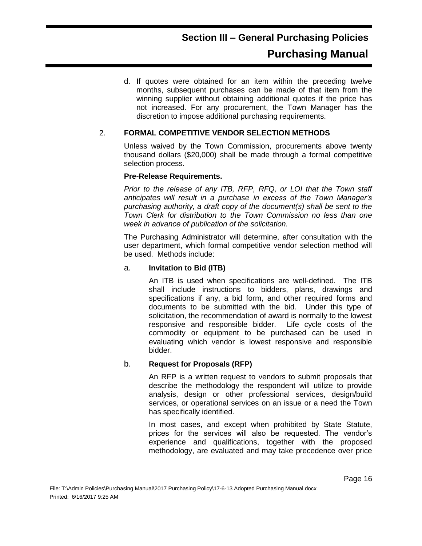d. If quotes were obtained for an item within the preceding twelve months, subsequent purchases can be made of that item from the winning supplier without obtaining additional quotes if the price has not increased. For any procurement, the Town Manager has the discretion to impose additional purchasing requirements.

#### 2. **FORMAL COMPETITIVE VENDOR SELECTION METHODS**

Unless waived by the Town Commission, procurements above twenty thousand dollars (\$20,000) shall be made through a formal competitive selection process.

#### **Pre-Release Requirements.**

*Prior to the release of any ITB, RFP, RFQ, or LOI that the Town staff anticipates will result in a purchase in excess of the Town Manager's purchasing authority, a draft copy of the document(s) shall be sent to the Town Clerk for distribution to the Town Commission no less than one week in advance of publication of the solicitation.*

The Purchasing Administrator will determine, after consultation with the user department, which formal competitive vendor selection method will be used. Methods include:

#### a. **Invitation to Bid (ITB)**

An ITB is used when specifications are well-defined. The ITB shall include instructions to bidders, plans, drawings and specifications if any, a bid form, and other required forms and documents to be submitted with the bid. Under this type of solicitation, the recommendation of award is normally to the lowest responsive and responsible bidder. Life cycle costs of the commodity or equipment to be purchased can be used in evaluating which vendor is lowest responsive and responsible bidder.

#### b. **Request for Proposals (RFP)**

An RFP is a written request to vendors to submit proposals that describe the methodology the respondent will utilize to provide analysis, design or other professional services, design/build services, or operational services on an issue or a need the Town has specifically identified.

In most cases, and except when prohibited by State Statute, prices for the services will also be requested. The vendor's experience and qualifications, together with the proposed methodology, are evaluated and may take precedence over price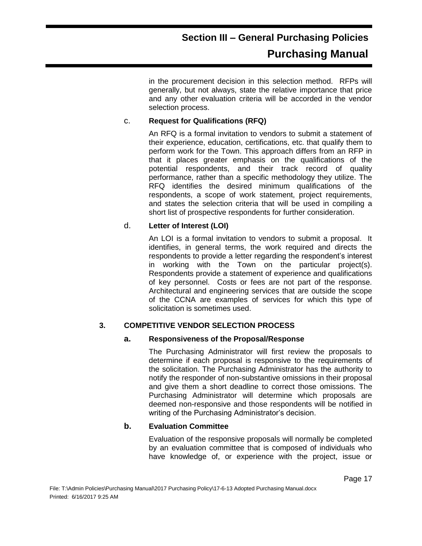in the procurement decision in this selection method. RFPs will generally, but not always, state the relative importance that price and any other evaluation criteria will be accorded in the vendor selection process.

#### c. **Request for Qualifications (RFQ)**

An RFQ is a formal invitation to vendors to submit a statement of their experience, education, certifications, etc. that qualify them to perform work for the Town. This approach differs from an RFP in that it places greater emphasis on the qualifications of the potential respondents, and their track record of quality performance, rather than a specific methodology they utilize. The RFQ identifies the desired minimum qualifications of the respondents, a scope of work statement, project requirements, and states the selection criteria that will be used in compiling a short list of prospective respondents for further consideration.

#### d. **Letter of Interest (LOI)**

An LOI is a formal invitation to vendors to submit a proposal. It identifies, in general terms, the work required and directs the respondents to provide a letter regarding the respondent's interest in working with the Town on the particular project(s). Respondents provide a statement of experience and qualifications of key personnel. Costs or fees are not part of the response. Architectural and engineering services that are outside the scope of the CCNA are examples of services for which this type of solicitation is sometimes used.

#### **3. COMPETITIVE VENDOR SELECTION PROCESS**

#### **a. Responsiveness of the Proposal/Response**

The Purchasing Administrator will first review the proposals to determine if each proposal is responsive to the requirements of the solicitation. The Purchasing Administrator has the authority to notify the responder of non-substantive omissions in their proposal and give them a short deadline to correct those omissions. The Purchasing Administrator will determine which proposals are deemed non-responsive and those respondents will be notified in writing of the Purchasing Administrator's decision.

#### **b. Evaluation Committee**

Evaluation of the responsive proposals will normally be completed by an evaluation committee that is composed of individuals who have knowledge of, or experience with the project, issue or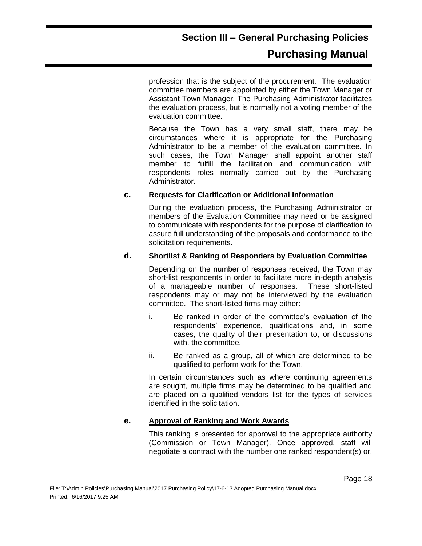profession that is the subject of the procurement. The evaluation committee members are appointed by either the Town Manager or Assistant Town Manager. The Purchasing Administrator facilitates the evaluation process, but is normally not a voting member of the evaluation committee.

Because the Town has a very small staff, there may be circumstances where it is appropriate for the Purchasing Administrator to be a member of the evaluation committee. In such cases, the Town Manager shall appoint another staff member to fulfill the facilitation and communication with respondents roles normally carried out by the Purchasing Administrator.

#### **c. Requests for Clarification or Additional Information**

During the evaluation process, the Purchasing Administrator or members of the Evaluation Committee may need or be assigned to communicate with respondents for the purpose of clarification to assure full understanding of the proposals and conformance to the solicitation requirements.

#### **d. Shortlist & Ranking of Responders by Evaluation Committee**

Depending on the number of responses received, the Town may short-list respondents in order to facilitate more in-depth analysis of a manageable number of responses. These short-listed respondents may or may not be interviewed by the evaluation committee. The short-listed firms may either:

- i. Be ranked in order of the committee's evaluation of the respondents' experience, qualifications and, in some cases, the quality of their presentation to, or discussions with, the committee.
- ii. Be ranked as a group, all of which are determined to be qualified to perform work for the Town.

In certain circumstances such as where continuing agreements are sought, multiple firms may be determined to be qualified and are placed on a qualified vendors list for the types of services identified in the solicitation.

#### **e. Approval of Ranking and Work Awards**

This ranking is presented for approval to the appropriate authority (Commission or Town Manager). Once approved, staff will negotiate a contract with the number one ranked respondent(s) or,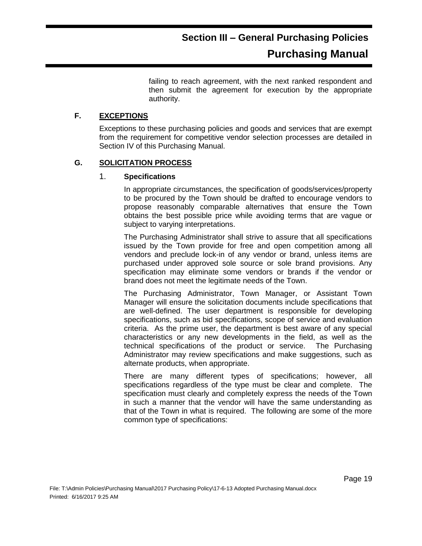failing to reach agreement, with the next ranked respondent and then submit the agreement for execution by the appropriate authority.

#### **F. EXCEPTIONS**

Exceptions to these purchasing policies and goods and services that are exempt from the requirement for competitive vendor selection processes are detailed in Section IV of this Purchasing Manual.

#### **G. SOLICITATION PROCESS**

#### 1. **Specifications**

In appropriate circumstances, the specification of goods/services/property to be procured by the Town should be drafted to encourage vendors to propose reasonably comparable alternatives that ensure the Town obtains the best possible price while avoiding terms that are vague or subject to varying interpretations.

The Purchasing Administrator shall strive to assure that all specifications issued by the Town provide for free and open competition among all vendors and preclude lock-in of any vendor or brand, unless items are purchased under approved sole source or sole brand provisions. Any specification may eliminate some vendors or brands if the vendor or brand does not meet the legitimate needs of the Town.

The Purchasing Administrator, Town Manager, or Assistant Town Manager will ensure the solicitation documents include specifications that are well-defined. The user department is responsible for developing specifications, such as bid specifications, scope of service and evaluation criteria. As the prime user, the department is best aware of any special characteristics or any new developments in the field, as well as the technical specifications of the product or service. The Purchasing Administrator may review specifications and make suggestions, such as alternate products, when appropriate.

There are many different types of specifications; however, all specifications regardless of the type must be clear and complete. The specification must clearly and completely express the needs of the Town in such a manner that the vendor will have the same understanding as that of the Town in what is required. The following are some of the more common type of specifications: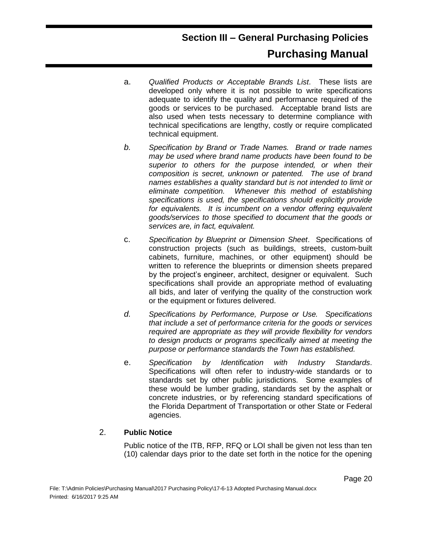- a. *Qualified Products or Acceptable Brands List*. These lists are developed only where it is not possible to write specifications adequate to identify the quality and performance required of the goods or services to be purchased. Acceptable brand lists are also used when tests necessary to determine compliance with technical specifications are lengthy, costly or require complicated technical equipment.
- *b. Specification by Brand or Trade Names. Brand or trade names may be used where brand name products have been found to be superior to others for the purpose intended, or when their composition is secret, unknown or patented. The use of brand names establishes a quality standard but is not intended to limit or eliminate competition. Whenever this method of establishing specifications is used, the specifications should explicitly provide for equivalents. It is incumbent on a vendor offering equivalent goods/services to those specified to document that the goods or services are, in fact, equivalent.*
- c. *Specification by Blueprint or Dimension Sheet*. Specifications of construction projects (such as buildings, streets, custom-built cabinets, furniture, machines, or other equipment) should be written to reference the blueprints or dimension sheets prepared by the project's engineer, architect, designer or equivalent. Such specifications shall provide an appropriate method of evaluating all bids, and later of verifying the quality of the construction work or the equipment or fixtures delivered.
- *d. Specifications by Performance, Purpose or Use. Specifications that include a set of performance criteria for the goods or services required are appropriate as they will provide flexibility for vendors to design products or programs specifically aimed at meeting the purpose or performance standards the Town has established.*
- e. *Specification by Identification with Industry Standards*. Specifications will often refer to industry-wide standards or to standards set by other public jurisdictions. Some examples of these would be lumber grading, standards set by the asphalt or concrete industries, or by referencing standard specifications of the Florida Department of Transportation or other State or Federal agencies.

#### 2. **Public Notice**

Public notice of the ITB, RFP, RFQ or LOI shall be given not less than ten (10) calendar days prior to the date set forth in the notice for the opening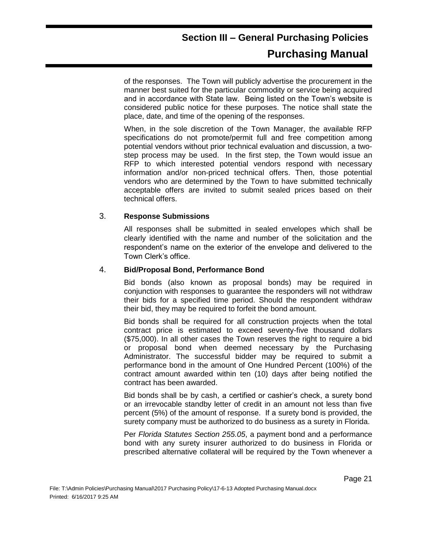of the responses. The Town will publicly advertise the procurement in the manner best suited for the particular commodity or service being acquired and in accordance with State law. Being listed on the Town's website is considered public notice for these purposes. The notice shall state the place, date, and time of the opening of the responses.

When, in the sole discretion of the Town Manager, the available RFP specifications do not promote/permit full and free competition among potential vendors without prior technical evaluation and discussion, a twostep process may be used. In the first step, the Town would issue an RFP to which interested potential vendors respond with necessary information and/or non-priced technical offers. Then, those potential vendors who are determined by the Town to have submitted technically acceptable offers are invited to submit sealed prices based on their technical offers.

#### 3. **Response Submissions**

All responses shall be submitted in sealed envelopes which shall be clearly identified with the name and number of the solicitation and the respondent's name on the exterior of the envelope and delivered to the Town Clerk's office.

#### 4. **Bid/Proposal Bond, Performance Bond**

Bid bonds (also known as proposal bonds) may be required in conjunction with responses to guarantee the responders will not withdraw their bids for a specified time period. Should the respondent withdraw their bid, they may be required to forfeit the bond amount.

Bid bonds shall be required for all construction projects when the total contract price is estimated to exceed seventy-five thousand dollars (\$75,000). In all other cases the Town reserves the right to require a bid or proposal bond when deemed necessary by the Purchasing Administrator. The successful bidder may be required to submit a performance bond in the amount of One Hundred Percent (100%) of the contract amount awarded within ten (10) days after being notified the contract has been awarded.

Bid bonds shall be by cash, a certified or cashier's check, a surety bond or an irrevocable standby letter of credit in an amount not less than five percent (5%) of the amount of response. If a surety bond is provided, the surety company must be authorized to do business as a surety in Florida.

Per *Florida Statutes Section 255.05*, a payment bond and a performance bond with any surety insurer authorized to do business in Florida or prescribed alternative collateral will be required by the Town whenever a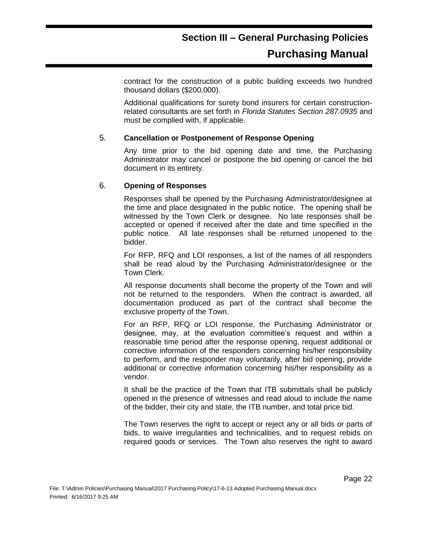contract for the construction of a public building exceeds two hundred thousand dollars (\$200,000).

Additional qualifications for surety bond insurers for certain constructionrelated consultants are set forth in *Florida Statutes Section 287.0935* and must be complied with, if applicable.

#### 5. **Cancellation or Postponement of Response Opening**

Any time prior to the bid opening date and time, the Purchasing Administrator may cancel or postpone the bid opening or cancel the bid document in its entirety.

#### 6. **Opening of Responses**

Responses shall be opened by the Purchasing Administrator/designee at the time and place designated in the public notice. The opening shall be witnessed by the Town Clerk or designee. No late responses shall be accepted or opened if received after the date and time specified in the public notice. All late responses shall be returned unopened to the bidder.

For RFP, RFQ and LOI responses, a list of the names of all responders shall be read aloud by the Purchasing Administrator/designee or the Town Clerk.

All response documents shall become the property of the Town and will not be returned to the responders. When the contract is awarded, all documentation produced as part of the contract shall become the exclusive property of the Town.

For an RFP, RFQ or LOI response, the Purchasing Administrator or designee, may, at the evaluation committee's request and within a reasonable time period after the response opening, request additional or corrective information of the responders concerning his/her responsibility to perform, and the responder may voluntarily, after bid opening, provide additional or corrective information concerning his/her responsibility as a vendor.

It shall be the practice of the Town that ITB submittals shall be publicly opened in the presence of witnesses and read aloud to include the name of the bidder, their city and state, the ITB number, and total price bid.

The Town reserves the right to accept or reject any or all bids or parts of bids, to waive irregularities and technicalities, and to request rebids on required goods or services. The Town also reserves the right to award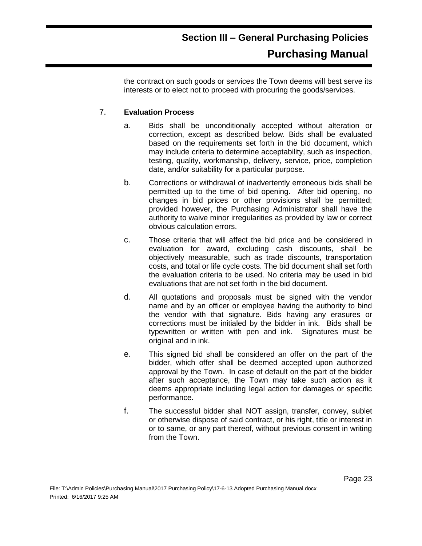the contract on such goods or services the Town deems will best serve its interests or to elect not to proceed with procuring the goods/services.

#### 7. **Evaluation Process**

- a. Bids shall be unconditionally accepted without alteration or correction, except as described below. Bids shall be evaluated based on the requirements set forth in the bid document, which may include criteria to determine acceptability, such as inspection, testing, quality, workmanship, delivery, service, price, completion date, and/or suitability for a particular purpose.
- b. Corrections or withdrawal of inadvertently erroneous bids shall be permitted up to the time of bid opening. After bid opening, no changes in bid prices or other provisions shall be permitted; provided however, the Purchasing Administrator shall have the authority to waive minor irregularities as provided by law or correct obvious calculation errors.
- c. Those criteria that will affect the bid price and be considered in evaluation for award, excluding cash discounts, shall be objectively measurable, such as trade discounts, transportation costs, and total or life cycle costs. The bid document shall set forth the evaluation criteria to be used. No criteria may be used in bid evaluations that are not set forth in the bid document.
- d. All quotations and proposals must be signed with the vendor name and by an officer or employee having the authority to bind the vendor with that signature. Bids having any erasures or corrections must be initialed by the bidder in ink. Bids shall be typewritten or written with pen and ink. Signatures must be original and in ink.
- e. This signed bid shall be considered an offer on the part of the bidder, which offer shall be deemed accepted upon authorized approval by the Town. In case of default on the part of the bidder after such acceptance, the Town may take such action as it deems appropriate including legal action for damages or specific performance.
- f. The successful bidder shall NOT assign, transfer, convey, sublet or otherwise dispose of said contract, or his right, title or interest in or to same, or any part thereof, without previous consent in writing from the Town.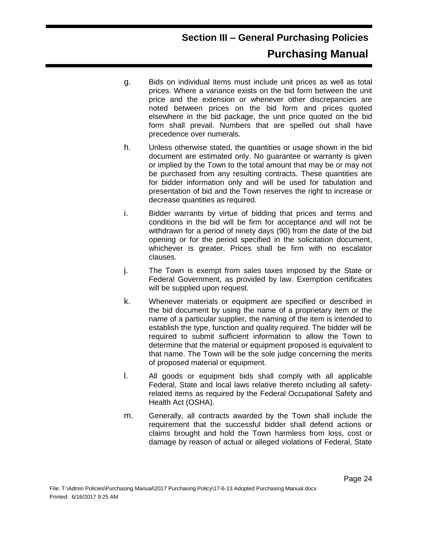- g. Bids on individual items must include unit prices as well as total prices. Where a variance exists on the bid form between the unit price and the extension or whenever other discrepancies are noted between prices on the bid form and prices quoted elsewhere in the bid package, the unit price quoted on the bid form shall prevail. Numbers that are spelled out shall have precedence over numerals.
- h. Unless otherwise stated, the quantities or usage shown in the bid document are estimated only. No guarantee or warranty is given or implied by the Town to the total amount that may be or may not be purchased from any resulting contracts. These quantities are for bidder information only and will be used for tabulation and presentation of bid and the Town reserves the right to increase or decrease quantities as required.
- i. Bidder warrants by virtue of bidding that prices and terms and conditions in the bid will be firm for acceptance and will not be withdrawn for a period of ninety days (90) from the date of the bid opening or for the period specified in the solicitation document, whichever is greater. Prices shall be firm with no escalator clauses.
- j. The Town is exempt from sales taxes imposed by the State or Federal Government, as provided by law. Exemption certificates will be supplied upon request.
- k. Whenever materials or equipment are specified or described in the bid document by using the name of a proprietary item or the name of a particular supplier, the naming of the item is intended to establish the type, function and quality required. The bidder will be required to submit sufficient information to allow the Town to determine that the material or equipment proposed is equivalent to that name. The Town will be the sole judge concerning the merits of proposed material or equipment.
- l. All goods or equipment bids shall comply with all applicable Federal, State and local laws relative thereto including all safetyrelated items as required by the Federal Occupational Safety and Health Act (OSHA).
- m. Generally, all contracts awarded by the Town shall include the requirement that the successful bidder shall defend actions or claims brought and hold the Town harmless from loss, cost or damage by reason of actual or alleged violations of Federal, State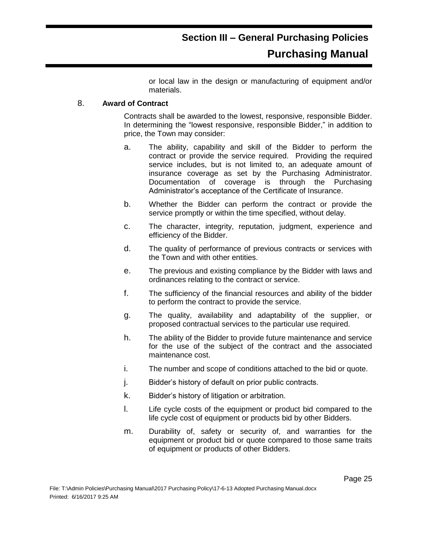or local law in the design or manufacturing of equipment and/or materials.

#### 8. **Award of Contract**

Contracts shall be awarded to the lowest, responsive, responsible Bidder. In determining the "lowest responsive, responsible Bidder," in addition to price, the Town may consider:

- a. The ability, capability and skill of the Bidder to perform the contract or provide the service required. Providing the required service includes, but is not limited to, an adequate amount of insurance coverage as set by the Purchasing Administrator. Documentation of coverage is through the Purchasing Administrator's acceptance of the Certificate of Insurance.
- b. Whether the Bidder can perform the contract or provide the service promptly or within the time specified, without delay.
- c. The character, integrity, reputation, judgment, experience and efficiency of the Bidder.
- d. The quality of performance of previous contracts or services with the Town and with other entities.
- e. The previous and existing compliance by the Bidder with laws and ordinances relating to the contract or service.
- f. The sufficiency of the financial resources and ability of the bidder to perform the contract to provide the service.
- g. The quality, availability and adaptability of the supplier, or proposed contractual services to the particular use required.
- h. The ability of the Bidder to provide future maintenance and service for the use of the subject of the contract and the associated maintenance cost.
- i. The number and scope of conditions attached to the bid or quote.
- j. Bidder's history of default on prior public contracts.
- k. Bidder's history of litigation or arbitration.
- l. Life cycle costs of the equipment or product bid compared to the life cycle cost of equipment or products bid by other Bidders.
- m. Durability of, safety or security of, and warranties for the equipment or product bid or quote compared to those same traits of equipment or products of other Bidders.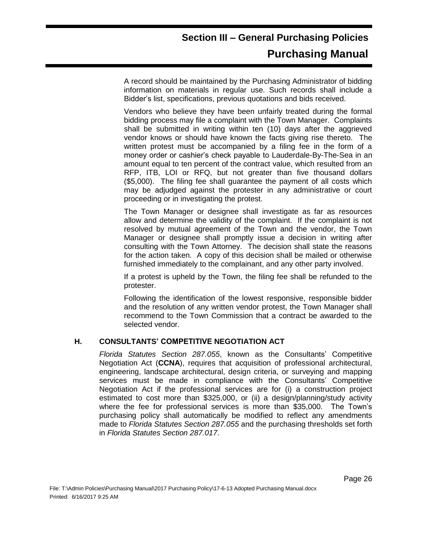A record should be maintained by the Purchasing Administrator of bidding information on materials in regular use. Such records shall include a Bidder's list, specifications, previous quotations and bids received.

Vendors who believe they have been unfairly treated during the formal bidding process may file a complaint with the Town Manager. Complaints shall be submitted in writing within ten (10) days after the aggrieved vendor knows or should have known the facts giving rise thereto. The written protest must be accompanied by a filing fee in the form of a money order or cashier's check payable to Lauderdale-By-The-Sea in an amount equal to ten percent of the contract value, which resulted from an RFP, ITB, LOI or RFQ, but not greater than five thousand dollars (\$5,000). The filing fee shall guarantee the payment of all costs which may be adjudged against the protester in any administrative or court proceeding or in investigating the protest.

The Town Manager or designee shall investigate as far as resources allow and determine the validity of the complaint. If the complaint is not resolved by mutual agreement of the Town and the vendor, the Town Manager or designee shall promptly issue a decision in writing after consulting with the Town Attorney. The decision shall state the reasons for the action taken. A copy of this decision shall be mailed or otherwise furnished immediately to the complainant, and any other party involved.

If a protest is upheld by the Town, the filing fee shall be refunded to the protester.

Following the identification of the lowest responsive, responsible bidder and the resolution of any written vendor protest, the Town Manager shall recommend to the Town Commission that a contract be awarded to the selected vendor.

#### **H. CONSULTANTS' COMPETITIVE NEGOTIATION ACT**

*Florida Statutes Section 287.055*, known as the Consultants' Competitive Negotiation Act (**CCNA**), requires that acquisition of professional architectural, engineering, landscape architectural, design criteria, or surveying and mapping services must be made in compliance with the Consultants' Competitive Negotiation Act if the professional services are for (i) a construction project estimated to cost more than \$325,000, or (ii) a design/planning/study activity where the fee for professional services is more than \$35,000. The Town's purchasing policy shall automatically be modified to reflect any amendments made to *Florida Statutes Section 287.055* and the purchasing thresholds set forth in *Florida Statutes Section 287.017*.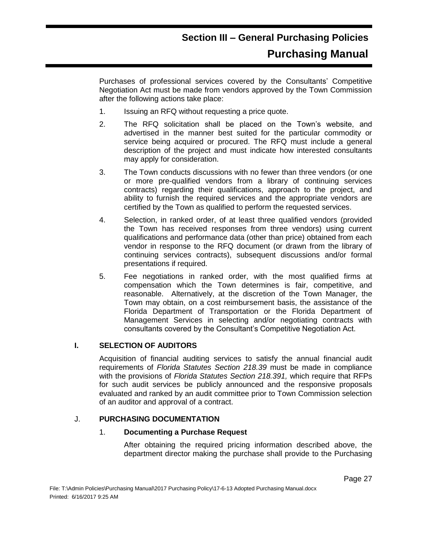Purchases of professional services covered by the Consultants' Competitive Negotiation Act must be made from vendors approved by the Town Commission after the following actions take place:

- 1. Issuing an RFQ without requesting a price quote.
- 2. The RFQ solicitation shall be placed on the Town's website, and advertised in the manner best suited for the particular commodity or service being acquired or procured. The RFQ must include a general description of the project and must indicate how interested consultants may apply for consideration.
- 3. The Town conducts discussions with no fewer than three vendors (or one or more pre-qualified vendors from a library of continuing services contracts) regarding their qualifications, approach to the project, and ability to furnish the required services and the appropriate vendors are certified by the Town as qualified to perform the requested services.
- 4. Selection, in ranked order, of at least three qualified vendors (provided the Town has received responses from three vendors) using current qualifications and performance data (other than price) obtained from each vendor in response to the RFQ document (or drawn from the library of continuing services contracts), subsequent discussions and/or formal presentations if required.
- 5. Fee negotiations in ranked order, with the most qualified firms at compensation which the Town determines is fair, competitive, and reasonable. Alternatively, at the discretion of the Town Manager, the Town may obtain, on a cost reimbursement basis, the assistance of the Florida Department of Transportation or the Florida Department of Management Services in selecting and/or negotiating contracts with consultants covered by the Consultant's Competitive Negotiation Act.

#### **I. SELECTION OF AUDITORS**

Acquisition of financial auditing services to satisfy the annual financial audit requirements of *Florida Statutes Section 218.39* must be made in compliance with the provisions of *Florida Statutes Section 218.391,* which require that RFPs for such audit services be publicly announced and the responsive proposals evaluated and ranked by an audit committee prior to Town Commission selection of an auditor and approval of a contract.

#### J. **PURCHASING DOCUMENTATION**

#### 1. **Documenting a Purchase Request**

After obtaining the required pricing information described above, the department director making the purchase shall provide to the Purchasing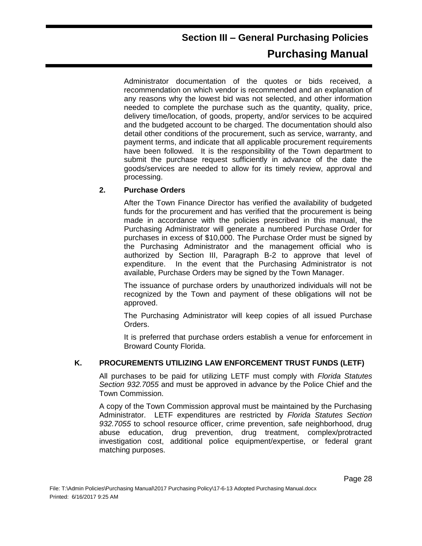Administrator documentation of the quotes or bids received, a recommendation on which vendor is recommended and an explanation of any reasons why the lowest bid was not selected, and other information needed to complete the purchase such as the quantity, quality, price, delivery time/location, of goods, property, and/or services to be acquired and the budgeted account to be charged. The documentation should also detail other conditions of the procurement, such as service, warranty, and payment terms, and indicate that all applicable procurement requirements have been followed. It is the responsibility of the Town department to submit the purchase request sufficiently in advance of the date the goods/services are needed to allow for its timely review, approval and processing.

#### **2. Purchase Orders**

After the Town Finance Director has verified the availability of budgeted funds for the procurement and has verified that the procurement is being made in accordance with the policies prescribed in this manual, the Purchasing Administrator will generate a numbered Purchase Order for purchases in excess of \$10,000. The Purchase Order must be signed by the Purchasing Administrator and the management official who is authorized by Section III, Paragraph B-2 to approve that level of expenditure. In the event that the Purchasing Administrator is not available, Purchase Orders may be signed by the Town Manager.

The issuance of purchase orders by unauthorized individuals will not be recognized by the Town and payment of these obligations will not be approved.

The Purchasing Administrator will keep copies of all issued Purchase Orders.

It is preferred that purchase orders establish a venue for enforcement in Broward County Florida.

#### **K. PROCUREMENTS UTILIZING LAW ENFORCEMENT TRUST FUNDS (LETF)**

All purchases to be paid for utilizing LETF must comply with *Florida Statutes Section 932.7055* and must be approved in advance by the Police Chief and the Town Commission.

A copy of the Town Commission approval must be maintained by the Purchasing Administrator. LETF expenditures are restricted by *Florida Statutes Section 932.7055* to school resource officer, crime prevention, safe neighborhood, drug abuse education, drug prevention, drug treatment, complex/protracted investigation cost, additional police equipment/expertise, or federal grant matching purposes.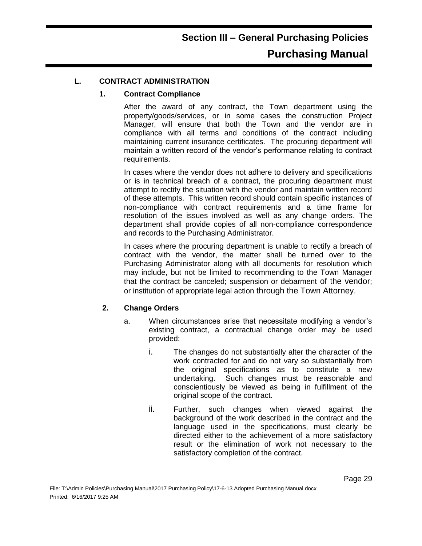#### **L. CONTRACT ADMINISTRATION**

#### **1. Contract Compliance**

After the award of any contract, the Town department using the property/goods/services, or in some cases the construction Project Manager, will ensure that both the Town and the vendor are in compliance with all terms and conditions of the contract including maintaining current insurance certificates. The procuring department will maintain a written record of the vendor's performance relating to contract requirements.

In cases where the vendor does not adhere to delivery and specifications or is in technical breach of a contract, the procuring department must attempt to rectify the situation with the vendor and maintain written record of these attempts. This written record should contain specific instances of non-compliance with contract requirements and a time frame for resolution of the issues involved as well as any change orders. The department shall provide copies of all non-compliance correspondence and records to the Purchasing Administrator.

In cases where the procuring department is unable to rectify a breach of contract with the vendor, the matter shall be turned over to the Purchasing Administrator along with all documents for resolution which may include, but not be limited to recommending to the Town Manager that the contract be canceled; suspension or debarment of the vendor; or institution of appropriate legal action through the Town Attorney.

#### **2. Change Orders**

- a. When circumstances arise that necessitate modifying a vendor's existing contract, a contractual change order may be used provided:
	- i. The changes do not substantially alter the character of the work contracted for and do not vary so substantially from the original specifications as to constitute a new undertaking. Such changes must be reasonable and conscientiously be viewed as being in fulfillment of the original scope of the contract.
	- ii. Further, such changes when viewed against the background of the work described in the contract and the language used in the specifications, must clearly be directed either to the achievement of a more satisfactory result or the elimination of work not necessary to the satisfactory completion of the contract.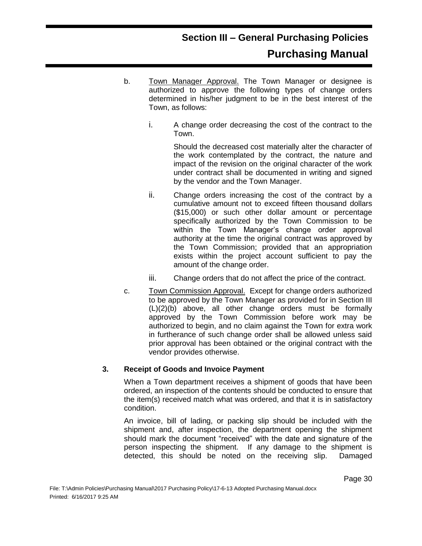- b. Town Manager Approval. The Town Manager or designee is authorized to approve the following types of change orders determined in his/her judgment to be in the best interest of the Town, as follows:
	- i. A change order decreasing the cost of the contract to the Town.

Should the decreased cost materially alter the character of the work contemplated by the contract, the nature and impact of the revision on the original character of the work under contract shall be documented in writing and signed by the vendor and the Town Manager.

- ii. Change orders increasing the cost of the contract by a cumulative amount not to exceed fifteen thousand dollars (\$15,000) or such other dollar amount or percentage specifically authorized by the Town Commission to be within the Town Manager's change order approval authority at the time the original contract was approved by the Town Commission; provided that an appropriation exists within the project account sufficient to pay the amount of the change order.
- iii. Change orders that do not affect the price of the contract.
- c. Town Commission Approval. Except for change orders authorized to be approved by the Town Manager as provided for in Section III (L)(2)(b) above, all other change orders must be formally approved by the Town Commission before work may be authorized to begin, and no claim against the Town for extra work in furtherance of such change order shall be allowed unless said prior approval has been obtained or the original contract with the vendor provides otherwise.

#### **3. Receipt of Goods and Invoice Payment**

When a Town department receives a shipment of goods that have been ordered, an inspection of the contents should be conducted to ensure that the item(s) received match what was ordered, and that it is in satisfactory condition.

An invoice, bill of lading, or packing slip should be included with the shipment and, after inspection, the department opening the shipment should mark the document "received" with the date and signature of the person inspecting the shipment. If any damage to the shipment is detected, this should be noted on the receiving slip. Damaged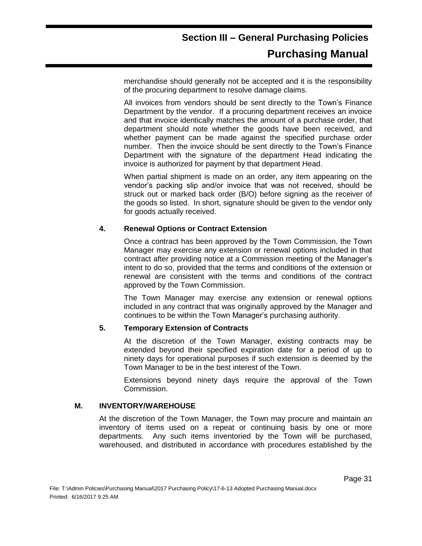merchandise should generally not be accepted and it is the responsibility of the procuring department to resolve damage claims.

All invoices from vendors should be sent directly to the Town's Finance Department by the vendor. If a procuring department receives an invoice and that invoice identically matches the amount of a purchase order, that department should note whether the goods have been received, and whether payment can be made against the specified purchase order number. Then the invoice should be sent directly to the Town's Finance Department with the signature of the department Head indicating the invoice is authorized for payment by that department Head.

When partial shipment is made on an order, any item appearing on the vendor's packing slip and/or invoice that was not received, should be struck out or marked back order (B/O) before signing as the receiver of the goods so listed. In short, signature should be given to the vendor only for goods actually received.

#### **4. Renewal Options or Contract Extension**

Once a contract has been approved by the Town Commission, the Town Manager may exercise any extension or renewal options included in that contract after providing notice at a Commission meeting of the Manager's intent to do so, provided that the terms and conditions of the extension or renewal are consistent with the terms and conditions of the contract approved by the Town Commission.

The Town Manager may exercise any extension or renewal options included in any contract that was originally approved by the Manager and continues to be within the Town Manager's purchasing authority.

#### **5. Temporary Extension of Contracts**

At the discretion of the Town Manager, existing contracts may be extended beyond their specified expiration date for a period of up to ninety days for operational purposes if such extension is deemed by the Town Manager to be in the best interest of the Town.

Extensions beyond ninety days require the approval of the Town Commission.

#### **M. INVENTORY/WAREHOUSE**

At the discretion of the Town Manager, the Town may procure and maintain an inventory of items used on a repeat or continuing basis by one or more departments. Any such items inventoried by the Town will be purchased, warehoused, and distributed in accordance with procedures established by the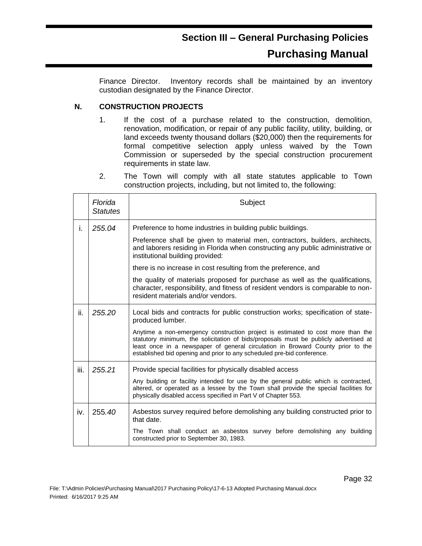Finance Director. Inventory records shall be maintained by an inventory custodian designated by the Finance Director.

#### **N. CONSTRUCTION PROJECTS**

- 1. If the cost of a purchase related to the construction, demolition, renovation, modification, or repair of any public facility, utility, building, or land exceeds twenty thousand dollars (\$20,000) then the requirements for formal competitive selection apply unless waived by the Town Commission or superseded by the special construction procurement requirements in state law.
- 2. The Town will comply with all state statutes applicable to Town construction projects, including, but not limited to, the following:

|      | Florida<br><i><b>Statutes</b></i> | Subject                                                                                                                                                                                                                                                                                                                              |
|------|-----------------------------------|--------------------------------------------------------------------------------------------------------------------------------------------------------------------------------------------------------------------------------------------------------------------------------------------------------------------------------------|
| İ.   | 255.04                            | Preference to home industries in building public buildings.                                                                                                                                                                                                                                                                          |
|      |                                   | Preference shall be given to material men, contractors, builders, architects,<br>and laborers residing in Florida when constructing any public administrative or<br>institutional building provided:                                                                                                                                 |
|      |                                   | there is no increase in cost resulting from the preference, and                                                                                                                                                                                                                                                                      |
|      |                                   | the quality of materials proposed for purchase as well as the qualifications,<br>character, responsibility, and fitness of resident vendors is comparable to non-<br>resident materials and/or vendors.                                                                                                                              |
| ii.  | 255.20                            | Local bids and contracts for public construction works; specification of state-<br>produced lumber.                                                                                                                                                                                                                                  |
|      |                                   | Anytime a non-emergency construction project is estimated to cost more than the<br>statutory minimum, the solicitation of bids/proposals must be publicly advertised at<br>least once in a newspaper of general circulation in Broward County prior to the<br>established bid opening and prior to any scheduled pre-bid conference. |
| iii. | 255.21                            | Provide special facilities for physically disabled access                                                                                                                                                                                                                                                                            |
|      |                                   | Any building or facility intended for use by the general public which is contracted,<br>altered, or operated as a lessee by the Town shall provide the special facilities for<br>physically disabled access specified in Part V of Chapter 553.                                                                                      |
| iv.  | 255.40                            | Asbestos survey required before demolishing any building constructed prior to<br>that date.                                                                                                                                                                                                                                          |
|      |                                   | The Town shall conduct an asbestos survey before demolishing any building<br>constructed prior to September 30, 1983.                                                                                                                                                                                                                |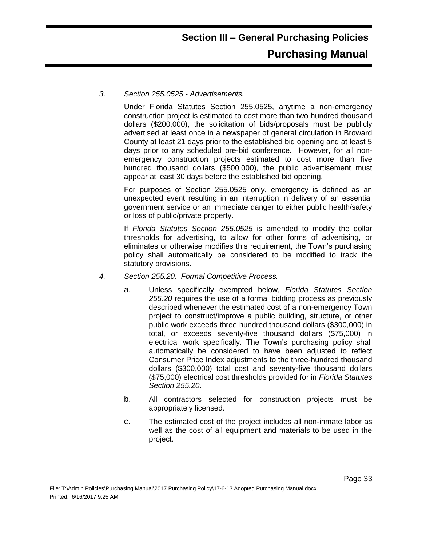#### *3. Section 255.0525 - Advertisements.*

Under Florida Statutes Section 255.0525, anytime a non-emergency construction project is estimated to cost more than two hundred thousand dollars (\$200,000), the solicitation of bids/proposals must be publicly advertised at least once in a newspaper of general circulation in Broward County at least 21 days prior to the established bid opening and at least 5 days prior to any scheduled pre-bid conference. However, for all nonemergency construction projects estimated to cost more than five hundred thousand dollars (\$500,000), the public advertisement must appear at least 30 days before the established bid opening.

For purposes of Section 255.0525 only, emergency is defined as an unexpected event resulting in an interruption in delivery of an essential government service or an immediate danger to either public health/safety or loss of public/private property.

If *Florida Statutes Section 255.0525* is amended to modify the dollar thresholds for advertising, to allow for other forms of advertising, or eliminates or otherwise modifies this requirement, the Town's purchasing policy shall automatically be considered to be modified to track the statutory provisions.

- *4. Section 255.20. Formal Competitive Process.*
	- a. Unless specifically exempted below, *Florida Statutes Section 255.20* requires the use of a formal bidding process as previously described whenever the estimated cost of a non-emergency Town project to construct/improve a public building, structure, or other public work exceeds three hundred thousand dollars (\$300,000) in total, or exceeds seventy-five thousand dollars (\$75,000) in electrical work specifically. The Town's purchasing policy shall automatically be considered to have been adjusted to reflect Consumer Price Index adjustments to the three-hundred thousand dollars (\$300,000) total cost and seventy-five thousand dollars (\$75,000) electrical cost thresholds provided for in *Florida Statutes Section 255.20*.
	- b. All contractors selected for construction projects must be appropriately licensed.
	- c. The estimated cost of the project includes all non-inmate labor as well as the cost of all equipment and materials to be used in the project.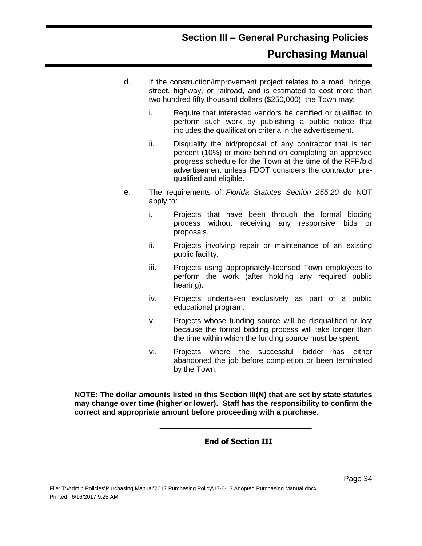- d. If the construction/improvement project relates to a road, bridge, street, highway, or railroad, and is estimated to cost more than two hundred fifty thousand dollars (\$250,000), the Town may:
	- i. Require that interested vendors be certified or qualified to perform such work by publishing a public notice that includes the qualification criteria in the advertisement.
	- ii. Disqualify the bid/proposal of any contractor that is ten percent (10%) or more behind on completing an approved progress schedule for the Town at the time of the RFP/bid advertisement unless FDOT considers the contractor prequalified and eligible.
- e. The requirements of *Florida Statutes Section 255.20* do NOT apply to:
	- i. Projects that have been through the formal bidding process without receiving any responsive bids or proposals.
	- ii. Projects involving repair or maintenance of an existing public facility.
	- iii. Projects using appropriately-licensed Town employees to perform the work (after holding any required public hearing).
	- iv. Projects undertaken exclusively as part of a public educational program.
	- v. Projects whose funding source will be disqualified or lost because the formal bidding process will take longer than the time within which the funding source must be spent.
	- vi. Projects where the successful bidder has either abandoned the job before completion or been terminated by the Town.

**NOTE: The dollar amounts listed in this Section III(N) that are set by state statutes may change over time (higher or lower). Staff has the responsibility to confirm the correct and appropriate amount before proceeding with a purchase.**

#### **End of Section III**

\_\_\_\_\_\_\_\_\_\_\_\_\_\_\_\_\_\_\_\_\_\_\_\_\_\_\_\_\_\_\_\_\_\_\_\_

File: T:\Admin Policies\Purchasing Manual\2017 Purchasing Policy\17-6-13 Adopted Purchasing Manual.docx Printed: 6/16/2017 9:25 AM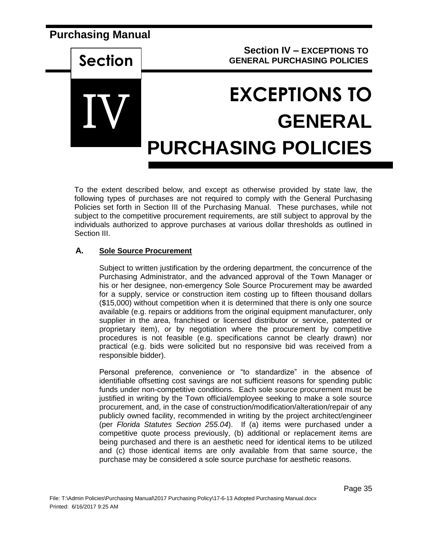**Section**

IV

**Section IV – EXCEPTIONS TO GENERAL PURCHASING POLICIES** 

## **EXCEPTIONS TO GENERAL PURCHASING POLICIES**

To the extent described below, and except as otherwise provided by state law, the following types of purchases are not required to comply with the General Purchasing Policies set forth in Section III of the Purchasing Manual. These purchases, while not subject to the competitive procurement requirements, are still subject to approval by the individuals authorized to approve purchases at various dollar thresholds as outlined in Section III.

#### **A. Sole Source Procurement**

Subject to written justification by the ordering department, the concurrence of the Purchasing Administrator, and the advanced approval of the Town Manager or his or her designee, non-emergency Sole Source Procurement may be awarded for a supply, service or construction item costing up to fifteen thousand dollars (\$15,000) without competition when it is determined that there is only one source available (e.g. repairs or additions from the original equipment manufacturer, only supplier in the area, franchised or licensed distributor or service, patented or proprietary item), or by negotiation where the procurement by competitive procedures is not feasible (e.g. specifications cannot be clearly drawn) nor practical (e.g. bids were solicited but no responsive bid was received from a responsible bidder).

Personal preference, convenience or "to standardize" in the absence of identifiable offsetting cost savings are not sufficient reasons for spending public funds under non-competitive conditions. Each sole source procurement must be justified in writing by the Town official/employee seeking to make a sole source procurement, and, in the case of construction/modification/alteration/repair of any publicly owned facility, recommended in writing by the project architect/engineer (per *Florida Statutes Section 255.04*). If (a) items were purchased under a competitive quote process previously, (b) additional or replacement items are being purchased and there is an aesthetic need for identical items to be utilized and (c) those identical items are only available from that same source, the purchase may be considered a sole source purchase for aesthetic reasons.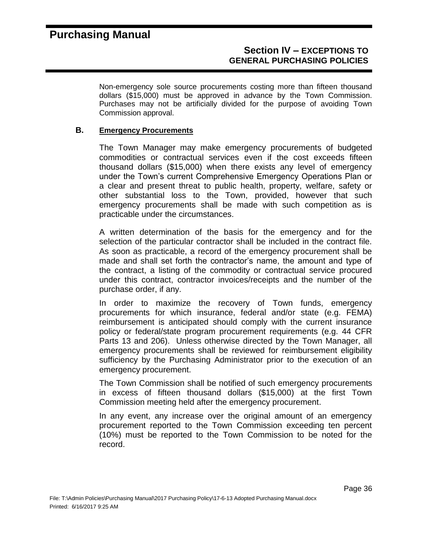#### **Section IV – EXCEPTIONS TO GENERAL PURCHASING POLICIES**

Non-emergency sole source procurements costing more than fifteen thousand dollars (\$15,000) must be approved in advance by the Town Commission. Purchases may not be artificially divided for the purpose of avoiding Town Commission approval.

#### **B. Emergency Procurements**

The Town Manager may make emergency procurements of budgeted commodities or contractual services even if the cost exceeds fifteen thousand dollars (\$15,000) when there exists any level of emergency under the Town's current Comprehensive Emergency Operations Plan or a clear and present threat to public health, property, welfare, safety or other substantial loss to the Town, provided, however that such emergency procurements shall be made with such competition as is practicable under the circumstances.

A written determination of the basis for the emergency and for the selection of the particular contractor shall be included in the contract file. As soon as practicable, a record of the emergency procurement shall be made and shall set forth the contractor's name, the amount and type of the contract, a listing of the commodity or contractual service procured under this contract, contractor invoices/receipts and the number of the purchase order, if any.

In order to maximize the recovery of Town funds, emergency procurements for which insurance, federal and/or state (e.g. FEMA) reimbursement is anticipated should comply with the current insurance policy or federal/state program procurement requirements (e.g. 44 CFR Parts 13 and 206). Unless otherwise directed by the Town Manager, all emergency procurements shall be reviewed for reimbursement eligibility sufficiency by the Purchasing Administrator prior to the execution of an emergency procurement.

The Town Commission shall be notified of such emergency procurements in excess of fifteen thousand dollars (\$15,000) at the first Town Commission meeting held after the emergency procurement.

In any event, any increase over the original amount of an emergency procurement reported to the Town Commission exceeding ten percent (10%) must be reported to the Town Commission to be noted for the record.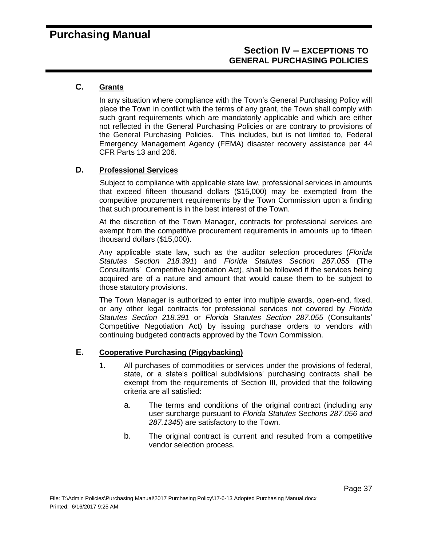#### **Section IV – EXCEPTIONS TO GENERAL PURCHASING POLICIES**

#### **C. Grants**

In any situation where compliance with the Town's General Purchasing Policy will place the Town in conflict with the terms of any grant, the Town shall comply with such grant requirements which are mandatorily applicable and which are either not reflected in the General Purchasing Policies or are contrary to provisions of the General Purchasing Policies. This includes, but is not limited to, Federal Emergency Management Agency (FEMA) disaster recovery assistance per 44 CFR Parts 13 and 206.

#### **D. Professional Services**

Subject to compliance with applicable state law, professional services in amounts that exceed fifteen thousand dollars (\$15,000) may be exempted from the competitive procurement requirements by the Town Commission upon a finding that such procurement is in the best interest of the Town.

At the discretion of the Town Manager, contracts for professional services are exempt from the competitive procurement requirements in amounts up to fifteen thousand dollars (\$15,000).

Any applicable state law, such as the auditor selection procedures (*Florida Statutes Section 218.391*) and *Florida Statutes Section 287.055* (The Consultants' Competitive Negotiation Act), shall be followed if the services being acquired are of a nature and amount that would cause them to be subject to those statutory provisions.

The Town Manager is authorized to enter into multiple awards, open-end, fixed, or any other legal contracts for professional services not covered by *Florida Statutes Section 218.391* or *Florida Statutes Section 287.055* (Consultants' Competitive Negotiation Act) by issuing purchase orders to vendors with continuing budgeted contracts approved by the Town Commission.

#### **E. Cooperative Purchasing (Piggybacking)**

- 1. All purchases of commodities or services under the provisions of federal, state, or a state's political subdivisions' purchasing contracts shall be exempt from the requirements of Section III, provided that the following criteria are all satisfied:
	- a. The terms and conditions of the original contract (including any user surcharge pursuant to *Florida Statutes Sections 287.056 and 287.1345*) are satisfactory to the Town.
	- b. The original contract is current and resulted from a competitive vendor selection process.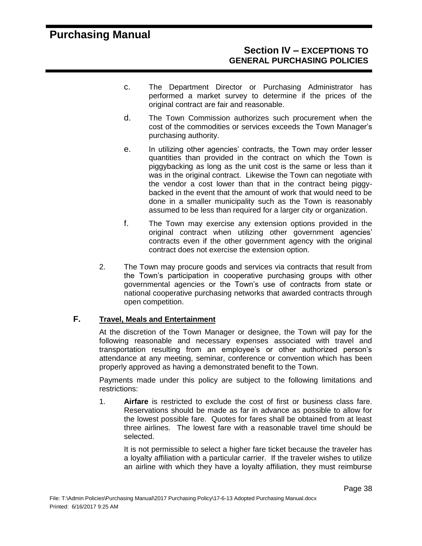#### **Section IV – EXCEPTIONS TO GENERAL PURCHASING POLICIES**

- c. The Department Director or Purchasing Administrator has performed a market survey to determine if the prices of the original contract are fair and reasonable.
- d. The Town Commission authorizes such procurement when the cost of the commodities or services exceeds the Town Manager's purchasing authority.
- e. In utilizing other agencies' contracts, the Town may order lesser quantities than provided in the contract on which the Town is piggybacking as long as the unit cost is the same or less than it was in the original contract. Likewise the Town can negotiate with the vendor a cost lower than that in the contract being piggybacked in the event that the amount of work that would need to be done in a smaller municipality such as the Town is reasonably assumed to be less than required for a larger city or organization.
- f. The Town may exercise any extension options provided in the original contract when utilizing other government agencies' contracts even if the other government agency with the original contract does not exercise the extension option.
- 2. The Town may procure goods and services via contracts that result from the Town's participation in cooperative purchasing groups with other governmental agencies or the Town's use of contracts from state or national cooperative purchasing networks that awarded contracts through open competition.

#### **F. Travel, Meals and Entertainment**

At the discretion of the Town Manager or designee, the Town will pay for the following reasonable and necessary expenses associated with travel and transportation resulting from an employee's or other authorized person's attendance at any meeting, seminar, conference or convention which has been properly approved as having a demonstrated benefit to the Town.

Payments made under this policy are subject to the following limitations and restrictions:

1. **Airfare** is restricted to exclude the cost of first or business class fare. Reservations should be made as far in advance as possible to allow for the lowest possible fare. Quotes for fares shall be obtained from at least three airlines. The lowest fare with a reasonable travel time should be selected.

It is not permissible to select a higher fare ticket because the traveler has a loyalty affiliation with a particular carrier. If the traveler wishes to utilize an airline with which they have a loyalty affiliation, they must reimburse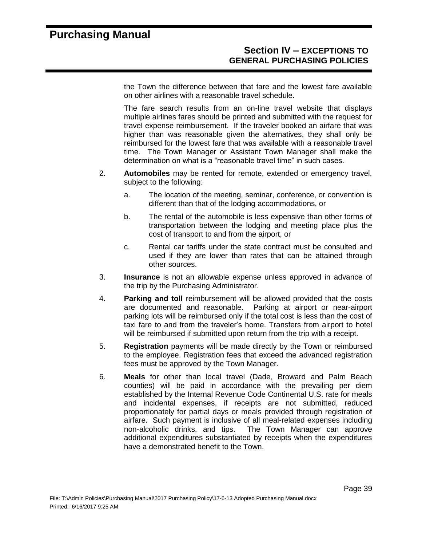#### **Section IV – EXCEPTIONS TO GENERAL PURCHASING POLICIES**

the Town the difference between that fare and the lowest fare available on other airlines with a reasonable travel schedule.

The fare search results from an on-line travel website that displays multiple airlines fares should be printed and submitted with the request for travel expense reimbursement. If the traveler booked an airfare that was higher than was reasonable given the alternatives, they shall only be reimbursed for the lowest fare that was available with a reasonable travel time. The Town Manager or Assistant Town Manager shall make the determination on what is a "reasonable travel time" in such cases.

- 2. **Automobiles** may be rented for remote, extended or emergency travel, subject to the following:
	- a. The location of the meeting, seminar, conference, or convention is different than that of the lodging accommodations, or
	- b. The rental of the automobile is less expensive than other forms of transportation between the lodging and meeting place plus the cost of transport to and from the airport, or
	- c. Rental car tariffs under the state contract must be consulted and used if they are lower than rates that can be attained through other sources.
- 3. **Insurance** is not an allowable expense unless approved in advance of the trip by the Purchasing Administrator.
- 4. **Parking and toll** reimbursement will be allowed provided that the costs are documented and reasonable. Parking at airport or near-airport parking lots will be reimbursed only if the total cost is less than the cost of taxi fare to and from the traveler's home. Transfers from airport to hotel will be reimbursed if submitted upon return from the trip with a receipt.
- 5. **Registration** payments will be made directly by the Town or reimbursed to the employee. Registration fees that exceed the advanced registration fees must be approved by the Town Manager.
- 6. **Meals** for other than local travel (Dade, Broward and Palm Beach counties) will be paid in accordance with the prevailing per diem established by the Internal Revenue Code Continental U.S. rate for meals and incidental expenses, if receipts are not submitted, reduced proportionately for partial days or meals provided through registration of airfare. Such payment is inclusive of all meal-related expenses including non-alcoholic drinks, and tips. The Town Manager can approve additional expenditures substantiated by receipts when the expenditures have a demonstrated benefit to the Town.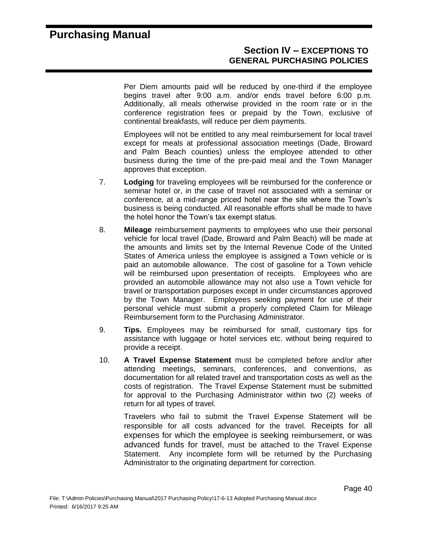#### **Section IV – EXCEPTIONS TO GENERAL PURCHASING POLICIES**

Per Diem amounts paid will be reduced by one-third if the employee begins travel after 9:00 a.m. and/or ends travel before 6:00 p.m. Additionally, all meals otherwise provided in the room rate or in the conference registration fees or prepaid by the Town, exclusive of continental breakfasts, will reduce per diem payments.

Employees will not be entitled to any meal reimbursement for local travel except for meals at professional association meetings (Dade, Broward and Palm Beach counties) unless the employee attended to other business during the time of the pre-paid meal and the Town Manager approves that exception.

- 7. **Lodging** for traveling employees will be reimbursed for the conference or seminar hotel or, in the case of travel not associated with a seminar or conference, at a mid-range priced hotel near the site where the Town's business is being conducted. All reasonable efforts shall be made to have the hotel honor the Town's tax exempt status.
- 8. **Mileage** reimbursement payments to employees who use their personal vehicle for local travel (Dade, Broward and Palm Beach) will be made at the amounts and limits set by the Internal Revenue Code of the United States of America unless the employee is assigned a Town vehicle or is paid an automobile allowance. The cost of gasoline for a Town vehicle will be reimbursed upon presentation of receipts. Employees who are provided an automobile allowance may not also use a Town vehicle for travel or transportation purposes except in under circumstances approved by the Town Manager. Employees seeking payment for use of their personal vehicle must submit a properly completed Claim for Mileage Reimbursement form to the Purchasing Administrator.
- 9. **Tips.** Employees may be reimbursed for small, customary tips for assistance with luggage or hotel services etc. without being required to provide a receipt.
- 10. **A Travel Expense Statement** must be completed before and/or after attending meetings, seminars, conferences, and conventions, as documentation for all related travel and transportation costs as well as the costs of registration. The Travel Expense Statement must be submitted for approval to the Purchasing Administrator within two (2) weeks of return for all types of travel.

Travelers who fail to submit the Travel Expense Statement will be responsible for all costs advanced for the travel. Receipts for all expenses for which the employee is seeking reimbursement, or was advanced funds for travel, must be attached to the Travel Expense Statement. Any incomplete form will be returned by the Purchasing Administrator to the originating department for correction.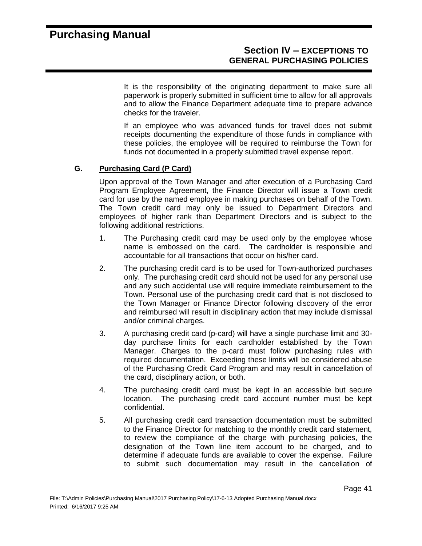#### **Section IV – EXCEPTIONS TO GENERAL PURCHASING POLICIES**

It is the responsibility of the originating department to make sure all paperwork is properly submitted in sufficient time to allow for all approvals and to allow the Finance Department adequate time to prepare advance checks for the traveler.

If an employee who was advanced funds for travel does not submit receipts documenting the expenditure of those funds in compliance with these policies, the employee will be required to reimburse the Town for funds not documented in a properly submitted travel expense report.

#### **G. Purchasing Card (P Card)**

Upon approval of the Town Manager and after execution of a Purchasing Card Program Employee Agreement, the Finance Director will issue a Town credit card for use by the named employee in making purchases on behalf of the Town. The Town credit card may only be issued to Department Directors and employees of higher rank than Department Directors and is subject to the following additional restrictions.

- 1. The Purchasing credit card may be used only by the employee whose name is embossed on the card. The cardholder is responsible and accountable for all transactions that occur on his/her card.
- 2. The purchasing credit card is to be used for Town-authorized purchases only. The purchasing credit card should not be used for any personal use and any such accidental use will require immediate reimbursement to the Town. Personal use of the purchasing credit card that is not disclosed to the Town Manager or Finance Director following discovery of the error and reimbursed will result in disciplinary action that may include dismissal and/or criminal charges.
- 3. A purchasing credit card (p-card) will have a single purchase limit and 30 day purchase limits for each cardholder established by the Town Manager. Charges to the p-card must follow purchasing rules with required documentation. Exceeding these limits will be considered abuse of the Purchasing Credit Card Program and may result in cancellation of the card, disciplinary action, or both.
- 4. The purchasing credit card must be kept in an accessible but secure location. The purchasing credit card account number must be kept confidential.
- 5. All purchasing credit card transaction documentation must be submitted to the Finance Director for matching to the monthly credit card statement, to review the compliance of the charge with purchasing policies, the designation of the Town line item account to be charged, and to determine if adequate funds are available to cover the expense. Failure to submit such documentation may result in the cancellation of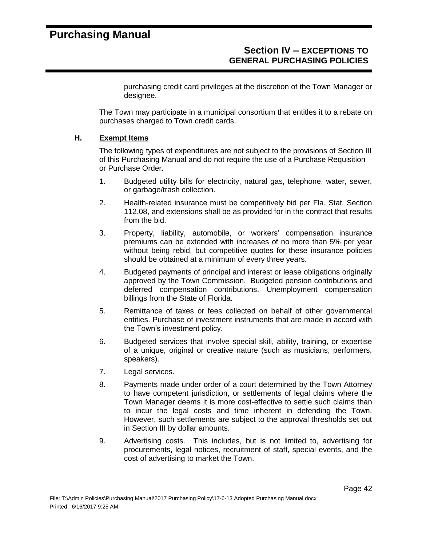#### **Section IV – EXCEPTIONS TO GENERAL PURCHASING POLICIES**

purchasing credit card privileges at the discretion of the Town Manager or designee.

The Town may participate in a municipal consortium that entitles it to a rebate on purchases charged to Town credit cards.

#### **H. Exempt Items**

The following types of expenditures are not subject to the provisions of Section III of this Purchasing Manual and do not require the use of a Purchase Requisition or Purchase Order.

- 1. Budgeted utility bills for electricity, natural gas, telephone, water, sewer, or garbage/trash collection.
- 2. Health-related insurance must be competitively bid per Fla. Stat. Section 112.08, and extensions shall be as provided for in the contract that results from the bid.
- 3. Property, liability, automobile, or workers' compensation insurance premiums can be extended with increases of no more than 5% per year without being rebid, but competitive quotes for these insurance policies should be obtained at a minimum of every three years.
- 4. Budgeted payments of principal and interest or lease obligations originally approved by the Town Commission. Budgeted pension contributions and deferred compensation contributions. Unemployment compensation billings from the State of Florida.
- 5. Remittance of taxes or fees collected on behalf of other governmental entities. Purchase of investment instruments that are made in accord with the Town's investment policy.
- 6. Budgeted services that involve special skill, ability, training, or expertise of a unique, original or creative nature (such as musicians, performers, speakers).
- 7. Legal services.
- 8. Payments made under order of a court determined by the Town Attorney to have competent jurisdiction, or settlements of legal claims where the Town Manager deems it is more cost-effective to settle such claims than to incur the legal costs and time inherent in defending the Town. However, such settlements are subject to the approval thresholds set out in Section III by dollar amounts.
- 9. Advertising costs. This includes, but is not limited to, advertising for procurements, legal notices, recruitment of staff, special events, and the cost of advertising to market the Town.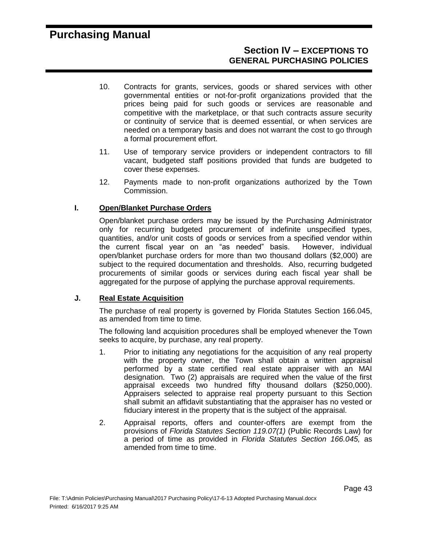#### **Section IV – EXCEPTIONS TO GENERAL PURCHASING POLICIES**

- 10. Contracts for grants, services, goods or shared services with other governmental entities or not-for-profit organizations provided that the prices being paid for such goods or services are reasonable and competitive with the marketplace, or that such contracts assure security or continuity of service that is deemed essential, or when services are needed on a temporary basis and does not warrant the cost to go through a formal procurement effort.
- 11. Use of temporary service providers or independent contractors to fill vacant, budgeted staff positions provided that funds are budgeted to cover these expenses.
- 12. Payments made to non-profit organizations authorized by the Town Commission.

#### **I. Open/Blanket Purchase Orders**

Open/blanket purchase orders may be issued by the Purchasing Administrator only for recurring budgeted procurement of indefinite unspecified types, quantities, and/or unit costs of goods or services from a specified vendor within the current fiscal year on an "as needed" basis. However, individual open/blanket purchase orders for more than two thousand dollars (\$2,000) are subject to the required documentation and thresholds. Also, recurring budgeted procurements of similar goods or services during each fiscal year shall be aggregated for the purpose of applying the purchase approval requirements.

#### **J. Real Estate Acquisition**

The purchase of real property is governed by Florida Statutes Section 166.045, as amended from time to time.

The following land acquisition procedures shall be employed whenever the Town seeks to acquire, by purchase, any real property.

- 1. Prior to initiating any negotiations for the acquisition of any real property with the property owner, the Town shall obtain a written appraisal performed by a state certified real estate appraiser with an MAI designation. Two (2) appraisals are required when the value of the first appraisal exceeds two hundred fifty thousand dollars (\$250,000). Appraisers selected to appraise real property pursuant to this Section shall submit an affidavit substantiating that the appraiser has no vested or fiduciary interest in the property that is the subject of the appraisal.
- 2. Appraisal reports, offers and counter-offers are exempt from the provisions of *Florida Statutes Section 119.07(1)* (Public Records Law) for a period of time as provided in *Florida Statutes Section 166.045,* as amended from time to time.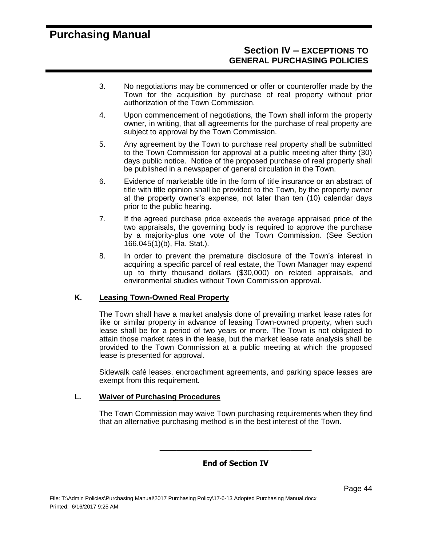#### **Section IV – EXCEPTIONS TO GENERAL PURCHASING POLICIES**

- 3. No negotiations may be commenced or offer or counteroffer made by the Town for the acquisition by purchase of real property without prior authorization of the Town Commission.
- 4. Upon commencement of negotiations, the Town shall inform the property owner, in writing, that all agreements for the purchase of real property are subject to approval by the Town Commission.
- 5. Any agreement by the Town to purchase real property shall be submitted to the Town Commission for approval at a public meeting after thirty (30) days public notice. Notice of the proposed purchase of real property shall be published in a newspaper of general circulation in the Town.
- 6. Evidence of marketable title in the form of title insurance or an abstract of title with title opinion shall be provided to the Town, by the property owner at the property owner's expense, not later than ten (10) calendar days prior to the public hearing.
- 7. If the agreed purchase price exceeds the average appraised price of the two appraisals, the governing body is required to approve the purchase by a majority-plus one vote of the Town Commission. (See Section 166.045(1)(b), Fla. Stat.).
- 8. In order to prevent the premature disclosure of the Town's interest in acquiring a specific parcel of real estate, the Town Manager may expend up to thirty thousand dollars (\$30,000) on related appraisals, and environmental studies without Town Commission approval.

#### **K. Leasing Town-Owned Real Property**

The Town shall have a market analysis done of prevailing market lease rates for like or similar property in advance of leasing Town-owned property, when such lease shall be for a period of two years or more. The Town is not obligated to attain those market rates in the lease, but the market lease rate analysis shall be provided to the Town Commission at a public meeting at which the proposed lease is presented for approval.

Sidewalk café leases, encroachment agreements, and parking space leases are exempt from this requirement.

#### **L. Waiver of Purchasing Procedures**

The Town Commission may waive Town purchasing requirements when they find that an alternative purchasing method is in the best interest of the Town.

**End of Section IV**

\_\_\_\_\_\_\_\_\_\_\_\_\_\_\_\_\_\_\_\_\_\_\_\_\_\_\_\_\_\_\_\_\_\_\_\_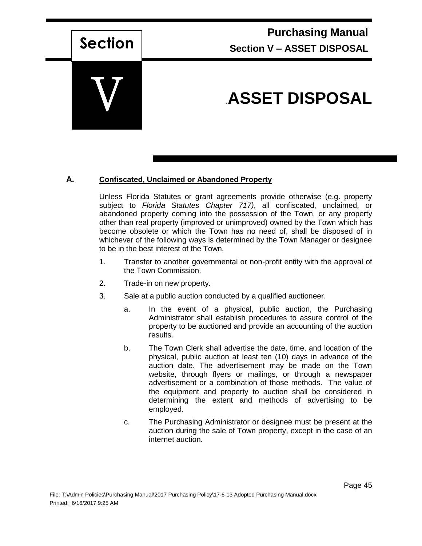

#### **A. Confiscated, Unclaimed or Abandoned Property**

Unless Florida Statutes or grant agreements provide otherwise (e.g. property subject to *Florida Statutes Chapter 717)*, all confiscated, unclaimed, or abandoned property coming into the possession of the Town, or any property other than real property (improved or unimproved) owned by the Town which has become obsolete or which the Town has no need of, shall be disposed of in whichever of the following ways is determined by the Town Manager or designee to be in the best interest of the Town.

- 1. Transfer to another governmental or non-profit entity with the approval of the Town Commission.
- 2. Trade-in on new property.
- 3. Sale at a public auction conducted by a qualified auctioneer.
	- a. In the event of a physical, public auction, the Purchasing Administrator shall establish procedures to assure control of the property to be auctioned and provide an accounting of the auction results.
	- b. The Town Clerk shall advertise the date, time, and location of the physical, public auction at least ten (10) days in advance of the auction date. The advertisement may be made on the Town website, through flyers or mailings, or through a newspaper advertisement or a combination of those methods. The value of the equipment and property to auction shall be considered in determining the extent and methods of advertising to be employed.
	- c. The Purchasing Administrator or designee must be present at the auction during the sale of Town property, except in the case of an internet auction.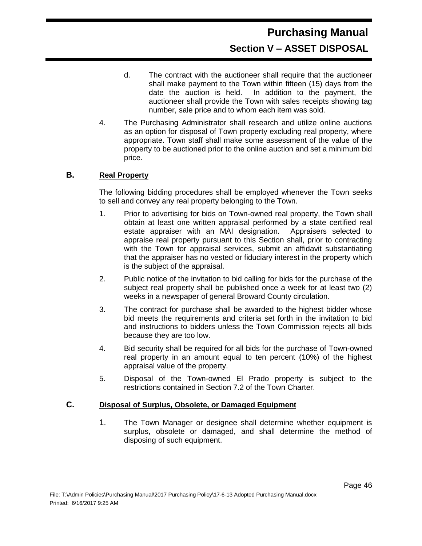## **Purchasing Manual Section V – ASSET DISPOSAL**

- d. The contract with the auctioneer shall require that the auctioneer shall make payment to the Town within fifteen (15) days from the date the auction is held. In addition to the payment, the auctioneer shall provide the Town with sales receipts showing tag number, sale price and to whom each item was sold.
- 4. The Purchasing Administrator shall research and utilize online auctions as an option for disposal of Town property excluding real property, where appropriate. Town staff shall make some assessment of the value of the property to be auctioned prior to the online auction and set a minimum bid price.

#### **B. Real Property**

The following bidding procedures shall be employed whenever the Town seeks to sell and convey any real property belonging to the Town.

- 1. Prior to advertising for bids on Town-owned real property, the Town shall obtain at least one written appraisal performed by a state certified real estate appraiser with an MAI designation. Appraisers selected to appraise real property pursuant to this Section shall, prior to contracting with the Town for appraisal services, submit an affidavit substantiating that the appraiser has no vested or fiduciary interest in the property which is the subject of the appraisal.
- 2. Public notice of the invitation to bid calling for bids for the purchase of the subject real property shall be published once a week for at least two (2) weeks in a newspaper of general Broward County circulation.
- 3. The contract for purchase shall be awarded to the highest bidder whose bid meets the requirements and criteria set forth in the invitation to bid and instructions to bidders unless the Town Commission rejects all bids because they are too low.
- 4. Bid security shall be required for all bids for the purchase of Town-owned real property in an amount equal to ten percent (10%) of the highest appraisal value of the property.
- 5. Disposal of the Town-owned El Prado property is subject to the restrictions contained in Section 7.2 of the Town Charter.

#### **C. Disposal of Surplus, Obsolete, or Damaged Equipment**

1. The Town Manager or designee shall determine whether equipment is surplus, obsolete or damaged, and shall determine the method of disposing of such equipment.